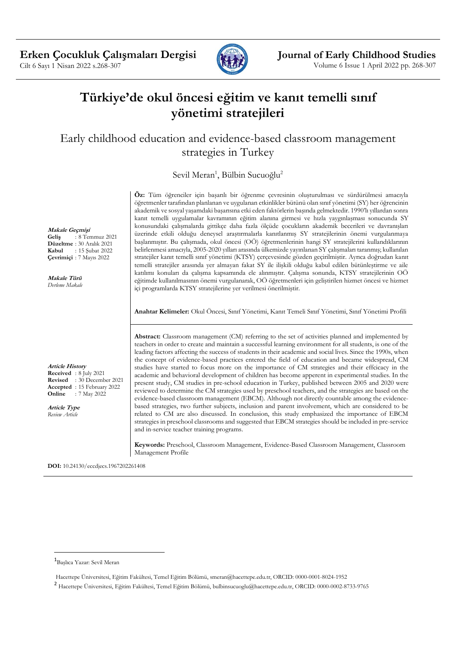

# **Türkiye'de okul öncesi eğitim ve kanıt temelli sınıf yönetimi stratejileri**

Early childhood education and evidence-based classroom management strategies in Turkey

Sevil Meran<sup>1</sup>, Bülbin Sucuoğlu<sup>2</sup>

**Öz:** Tüm öğrenciler için başarılı bir öğrenme çevresinin oluşturulması ve sürdürülmesi amacıyla öğretmenler tarafından planlanan ve uygulanan etkinlikler bütünü olan sınıf yönetimi (SY) her öğrencinin akademik ve sosyal yaşamdaki başarısına etki eden faktörlerin başında gelmektedir. 1990'lı yıllardan sonra kanıt temelli uygulamalar kavramının eğitim alanına girmesi ve hızla yaygınlaşması sonucunda SY konusundaki çalışmalarda gittikçe daha fazla ölçüde çocukların akademik becerileri ve davranışları üzerinde etkili olduğu deneysel araştırmalarla kanıtlanmış SY stratejilerinin önemi vurgulanmaya başlanmıştır. Bu çalışmada, okul öncesi (OÖ) öğretmenlerinin hangi SY stratejilerini kullandıklarının belirlenmesi amacıyla, 2005-2020 yılları arasında ülkemizde yayınlanan SY çalışmaları taranmış; kullanılan stratejiler kanıt temelli sınıf yönetimi (KTSY) çerçevesinde gözden geçirilmiştir. Ayrıca doğrudan kanıt temelli stratejiler arasında yer almayan fakat SY ile ilişkili olduğu kabul edilen bütünleştirme ve aile katılımı konuları da çalışma kapsamında ele alınmıştır. Çalışma sonunda, KTSY stratejilerinin OÖ eğitimde kullanılmasının önemi vurgulanarak, OÖ öğretmenleri için geliştirilen hizmet öncesi ve hizmet içi programlarda KTSY stratejilerine yer verilmesi önerilmiştir.

**Anahtar Kelimeler:** Okul Öncesi, Sınıf Yönetimi, Kanıt Temeli Sınıf Yönetimi, Sınıf Yönetimi Profili

**Abstract:** Classroom management (CM) referring to the set of activities planned and implemented by teachers in order to create and maintain a successful learning environment for all students, is one of the leading factors affecting the success of students in their academic and social lives. Since the 1990s, when the concept of evidence-based practices entered the field of education and became widespread, CM studies have started to focus more on the importance of CM strategies and their effcicacy in the academic and behavioral development of children has become apperent in experimental studies. In the present study, CM studies in pre-school education in Turkey, published between 2005 and 2020 were reviewed to determine the CM strategies used by preschool teachers, and the strategies are based on the evidence-based classroom management (EBCM). Although not directly countable among the evidencebased strategies, two further subjects, inclusion and parent involvement, which are considered to be related to CM are also discussed. In conclusion, this study emphasized the importance of EBCM strategies in preschool classrooms and suggested that EBCM strategies should be included in pre-service and in-service teacher training programs.

**Keywords:** Preschool, Classroom Management, Evidence-Based Classroom Management, Classroom Management Profile

**DOI:** 10.24130/eccdjecs.1967202261408

**Makale Geçmişi Geliş** : 8 Temmuz 2021 **Düzeltme** : 30 Aralık 2021 **Kabul** : 15 Şubat 2022 **Çevrimiçi** : 7 Mayıs 2022

**Makale Türü** *Derleme Makale*

**Article History Received** : 8 July 2021 **Revised** : 30 December 2021 **Accepted** : 15 February 2022<br>**Online** : 7 May 2022 **Online** : 7 May 2022

**Article Type** *Review Article*

<sup>1</sup> Başlıca Yazar: Sevil Meran

Hacettepe Üniversitesi, Eğitim Fakültesi, Temel Eğitim Bölümü, smeran@hacettepe.edu.tr, ORCID: 0000-0001-8024-1952

<sup>2</sup> Hacettepe Üniversitesi, Eğitim Fakültesi, Temel Eğitim Bölümü, bulbinsucuoglu@hacettepe.edu.tr, ORCID: 0000-0002-8733-9765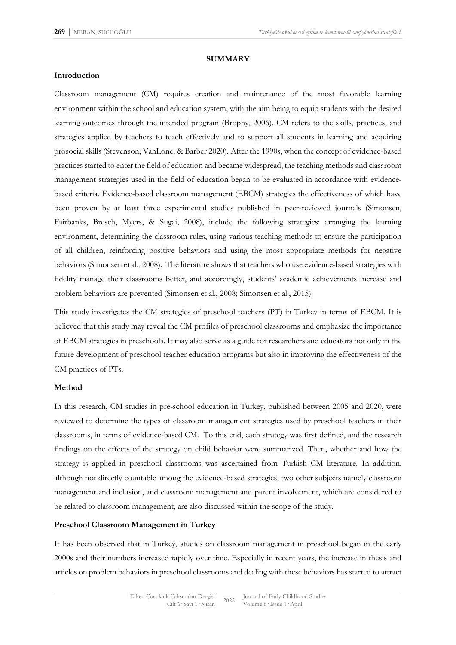#### **SUMMARY**

#### **Introduction**

Classroom management (CM) requires creation and maintenance of the most favorable learning environment within the school and education system, with the aim being to equip students with the desired learning outcomes through the intended program (Brophy, 2006). CM refers to the skills, practices, and strategies applied by teachers to teach effectively and to support all students in learning and acquiring prosocial skills (Stevenson, VanLone, & Barber 2020). After the 1990s, when the concept of evidence-based practices started to enter the field of education and became widespread, the teaching methods and classroom management strategies used in the field of education began to be evaluated in accordance with evidencebased criteria. Evidence-based classroom management (EBCM) strategies the effectiveness of which have been proven by at least three experimental studies published in peer-reviewed journals (Simonsen, Fairbanks, Bresch, Myers, & Sugai, 2008), include the following strategies: arranging the learning environment, determining the classroom rules, using various teaching methods to ensure the participation of all children, reinforcing positive behaviors and using the most appropriate methods for negative behaviors (Simonsen et al., 2008). The literature shows that teachers who use evidence-based strategies with fidelity manage their classrooms better, and accordingly, students' academic achievements increase and problem behaviors are prevented (Simonsen et al., 2008; Simonsen et al., 2015).

This study investigates the CM strategies of preschool teachers (PT) in Turkey in terms of EBCM. It is believed that this study may reveal the CM profiles of preschool classrooms and emphasize the importance of EBCM strategies in preschools. It may also serve as a guide for researchers and educators not only in the future development of preschool teacher education programs but also in improving the effectiveness of the CM practices of PTs.

#### **Method**

In this research, CM studies in pre-school education in Turkey, published between 2005 and 2020, were reviewed to determine the types of classroom management strategies used by preschool teachers in their classrooms, in terms of evidence-based CM. To this end, each strategy was first defined, and the research findings on the effects of the strategy on child behavior were summarized. Then, whether and how the strategy is applied in preschool classrooms was ascertained from Turkish CM literature. In addition, although not directly countable among the evidence-based strategies, two other subjects namely classroom management and inclusion, and classroom management and parent involvement, which are considered to be related to classroom management, are also discussed within the scope of the study.

#### **Preschool Classroom Management in Turkey**

It has been observed that in Turkey, studies on classroom management in preschool began in the early 2000s and their numbers increased rapidly over time. Especially in recent years, the increase in thesis and articles on problem behaviors in preschool classrooms and dealing with these behaviors has started to attract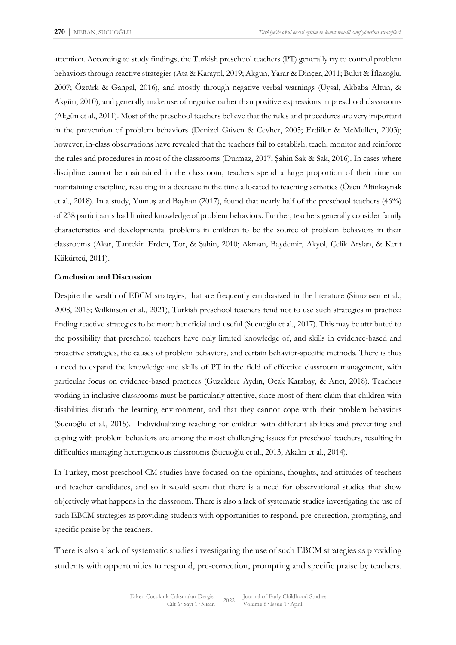attention. According to study findings, the Turkish preschool teachers (PT) generally try to control problem behaviors through reactive strategies (Ata & Karayol, 2019; Akgün, Yarar & Dinçer, 2011; Bulut & İflazoğlu, 2007; Öztürk & Gangal, 2016), and mostly through negative verbal warnings (Uysal, Akbaba Altun, & Akgün, 2010), and generally make use of negative rather than positive expressions in preschool classrooms (Akgün et al., 2011). Most of the preschool teachers believe that the rules and procedures are very important in the prevention of problem behaviors (Denizel Güven & Cevher, 2005; Erdiller & McMullen, 2003); however, in-class observations have revealed that the teachers fail to establish, teach, monitor and reinforce the rules and procedures in most of the classrooms (Durmaz, 2017; Şahin Sak & Sak, 2016). In cases where discipline cannot be maintained in the classroom, teachers spend a large proportion of their time on maintaining discipline, resulting in a decrease in the time allocated to teaching activities (Özen Altınkaynak et al., 2018). In a study, Yumuş and Bayhan (2017), found that nearly half of the preschool teachers (46%) of 238 participants had limited knowledge of problem behaviors. Further, teachers generally consider family characteristics and developmental problems in children to be the source of problem behaviors in their classrooms (Akar, Tantekin Erden, Tor, & Şahin, 2010; Akman, Baydemir, Akyol, Çelik Arslan, & Kent Kükürtcü, 2011).

#### **Conclusion and Discussion**

Despite the wealth of EBCM strategies, that are frequently emphasized in the literature (Simonsen et al., 2008, 2015; Wilkinson et al., 2021), Turkish preschool teachers tend not to use such strategies in practice; finding reactive strategies to be more beneficial and useful (Sucuoğlu et al., 2017). This may be attributed to the possibility that preschool teachers have only limited knowledge of, and skills in evidence-based and proactive strategies, the causes of problem behaviors, and certain behavior-specific methods. There is thus a need to expand the knowledge and skills of PT in the field of effective classroom management, with particular focus on evidence-based practices (Guzeldere Aydın, Ocak Karabay, & Arıcı, 2018). Teachers working in inclusive classrooms must be particularly attentive, since most of them claim that children with disabilities disturb the learning environment, and that they cannot cope with their problem behaviors (Sucuoğlu et al., 2015). Individualizing teaching for children with different abilities and preventing and coping with problem behaviors are among the most challenging issues for preschool teachers, resulting in difficulties managing heterogeneous classrooms (Sucuoğlu et al., 2013; Akalın et al., 2014).

In Turkey, most preschool CM studies have focused on the opinions, thoughts, and attitudes of teachers and teacher candidates, and so it would seem that there is a need for observational studies that show objectively what happens in the classroom. There is also a lack of systematic studies investigating the use of such EBCM strategies as providing students with opportunities to respond, pre-correction, prompting, and specific praise by the teachers.

There is also a lack of systematic studies investigating the use of such EBCM strategies as providing students with opportunities to respond, pre-correction, prompting and specific praise by teachers.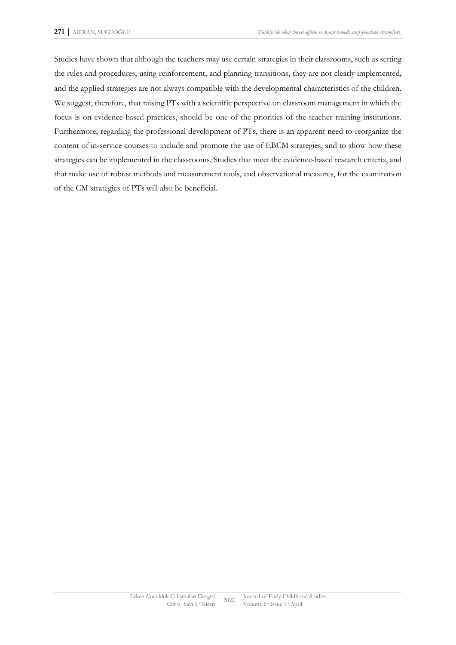Studies have shown that although the teachers may use certain strategies in their classrooms, such as setting the rules and procedures, using reinforcement, and planning transitions, they are not clearly implemented, and the applied strategies are not always compatible with the developmental characteristics of the children. We suggest, therefore, that raising PTs with a scientific perspective on classroom management in which the focus is on evidence-based practices, should be one of the priorities of the teacher training institutions. Furthermore, regarding the professional development of PTs, there is an apparent need to reorganize the content of in-service courses to include and promote the use of EBCM strategies, and to show how these strategies can be implemented in the classrooms. Studies that meet the evidence-based research criteria, and that make use of robust methods and measurement tools, and observational measures, for the examination of the CM strategies of PTs will also be beneficial.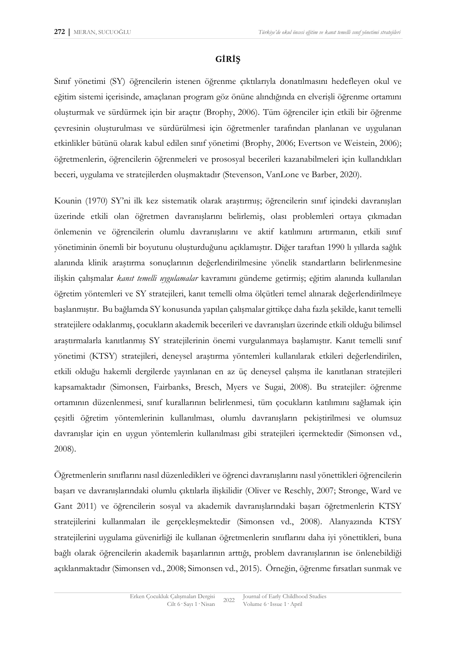# **GİRİŞ**

Sınıf yönetimi (SY) öğrencilerin istenen öğrenme çıktılarıyla donatılmasını hedefleyen okul ve eğitim sistemi içerisinde, amaçlanan program göz önüne alındığında en elverişli öğrenme ortamını oluşturmak ve sürdürmek için bir araçtır (Brophy, 2006). Tüm öğrenciler için etkili bir öğrenme çevresinin oluşturulması ve sürdürülmesi için öğretmenler tarafından planlanan ve uygulanan etkinlikler bütünü olarak kabul edilen sınıf yönetimi (Brophy, 2006; Evertson ve Weistein, 2006); öğretmenlerin, öğrencilerin öğrenmeleri ve prososyal becerileri kazanabilmeleri için kullandıkları beceri, uygulama ve stratejilerden oluşmaktadır (Stevenson, VanLone ve Barber, 2020).

Kounin (1970) SY'ni ilk kez sistematik olarak araştırmış; öğrencilerin sınıf içindeki davranışları üzerinde etkili olan öğretmen davranışlarını belirlemiş, olası problemleri ortaya çıkmadan önlemenin ve öğrencilerin olumlu davranışlarını ve aktif katılımını artırmanın, etkili sınıf yönetiminin önemli bir boyutunu oluşturduğunu açıklamıştır. Diğer taraftan 1990 lı yıllarda sağlık alanında klinik araştırma sonuçlarının değerlendirilmesine yönelik standartların belirlenmesine ilişkin çalışmalar *kanıt temelli uygulamalar* kavramını gündeme getirmiş; eğitim alanında kullanılan öğretim yöntemleri ve SY stratejileri, kanıt temelli olma ölçütleri temel alınarak değerlendirilmeye başlanmıştır. Bu bağlamda SY konusunda yapılan çalışmalar gittikçe daha fazla şekilde, kanıt temelli stratejilere odaklanmış, çocukların akademik becerileri ve davranışları üzerinde etkili olduğu bilimsel araştırmalarla kanıtlanmış SY stratejilerinin önemi vurgulanmaya başlamıştır. Kanıt temelli sınıf yönetimi (KTSY) stratejileri, deneysel araştırma yöntemleri kullanılarak etkileri değerlendirilen, etkili olduğu hakemli dergilerde yayınlanan en az üç deneysel çalışma ile kanıtlanan stratejileri kapsamaktadır (Simonsen, Fairbanks, Bresch, Myers ve Sugai, 2008). Bu stratejiler: öğrenme ortamının düzenlenmesi, sınıf kurallarının belirlenmesi, tüm çocukların katılımını sağlamak için çeşitli öğretim yöntemlerinin kullanılması, olumlu davranışların pekiştirilmesi ve olumsuz davranışlar için en uygun yöntemlerin kullanılması gibi stratejileri içermektedir (Simonsen vd., 2008).

Öğretmenlerin sınıflarını nasıl düzenledikleri ve öğrenci davranışlarını nasıl yönettikleri öğrencilerin başarı ve davranışlarındaki olumlu çıktılarla ilişkilidir (Oliver ve Reschly, 2007; Stronge, Ward ve Gant 2011) ve öğrencilerin sosyal va akademik davranışlarındaki başarı öğretmenlerin KTSY stratejilerini kullanmaları ile gerçekleşmektedir (Simonsen vd., 2008). Alanyazında KTSY stratejilerini uygulama güvenirliği ile kullanan öğretmenlerin sınıflarını daha iyi yönettikleri, buna bağlı olarak öğrencilerin akademik başarılarının arttığı, problem davranışlarının ise önlenebildiği açıklanmaktadır (Simonsen vd., 2008; Simonsen vd., 2015). Örneğin, öğrenme fırsatları sunmak ve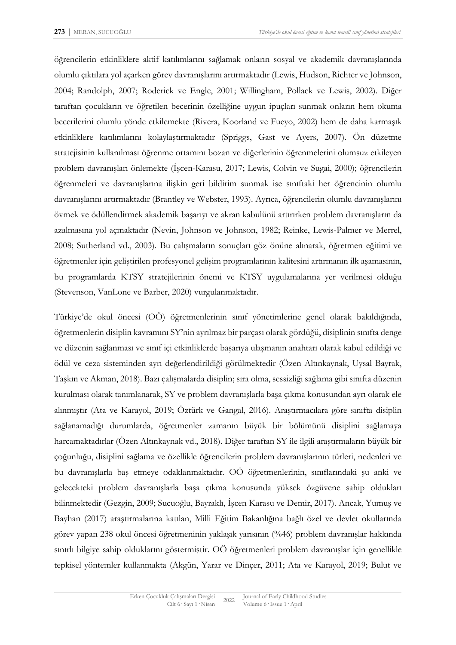öğrencilerin etkinliklere aktif katılımlarını sağlamak onların sosyal ve akademik davranışlarında olumlu çıktılara yol açarken görev davranışlarını artırmaktadır (Lewis, Hudson, Richter ve Johnson, 2004; Randolph, 2007; Roderick ve Engle, 2001; Willingham, Pollack ve Lewis, 2002). Diğer taraftan çocukların ve öğretilen becerinin özelliğine uygun ipuçları sunmak onların hem okuma becerilerini olumlu yönde etkilemekte (Rivera, Koorland ve Fueyo, 2002) hem de daha karmaşık etkinliklere katılımlarını kolaylaştırmaktadır (Spriggs, Gast ve Ayers, 2007). Ön düzetme stratejisinin kullanılması öğrenme ortamını bozan ve diğerlerinin öğrenmelerini olumsuz etkileyen problem davranışları önlemekte (İşcen-Karasu, 2017; Lewis, Colvin ve Sugai, 2000); öğrencilerin öğrenmeleri ve davranışlarına ilişkin geri bildirim sunmak ise sınıftaki her öğrencinin olumlu davranışlarını artırmaktadır (Brantley ve Webster, 1993). Ayrıca, öğrencilerin olumlu davranışlarını övmek ve ödüllendirmek akademik başarıyı ve akran kabulünü artırırken problem davranışların da azalmasına yol açmaktadır (Nevin, Johnson ve Johnson, 1982; Reinke, Lewis-Palmer ve Merrel, 2008; Sutherland vd., 2003). Bu çalışmaların sonuçları göz önüne alınarak, öğretmen eğitimi ve öğretmenler için geliştirilen profesyonel gelişim programlarının kalitesini artırmanın ilk aşamasının, bu programlarda KTSY stratejilerinin önemi ve KTSY uygulamalarına yer verilmesi olduğu (Stevenson, VanLone ve Barber, 2020) vurgulanmaktadır.

Türkiye'de okul öncesi (OÖ) öğretmenlerinin sınıf yönetimlerine genel olarak bakıldığında, öğretmenlerin disiplin kavramını SY'nin ayrılmaz bir parçası olarak gördüğü, disiplinin sınıfta denge ve düzenin sağlanması ve sınıf içi etkinliklerde başarıya ulaşmanın anahtarı olarak kabul edildiği ve ödül ve ceza sisteminden ayrı değerlendirildiği görülmektedir (Özen Altınkaynak, Uysal Bayrak, Taşkın ve Akman, 2018). Bazı çalışmalarda disiplin; sıra olma, sessizliği sağlama gibi sınıfta düzenin kurulması olarak tanımlanarak, SY ve problem davranışlarla başa çıkma konusundan ayrı olarak ele alınmıştır (Ata ve Karayol, 2019; Öztürk ve Gangal, 2016). Araştırmacılara göre sınıfta disiplin sağlanamadığı durumlarda, öğretmenler zamanın büyük bir bölümünü disiplini sağlamaya harcamaktadırlar (Özen Altınkaynak vd., 2018). Diğer taraftan SY ile ilgili araştırmaların büyük bir çoğunluğu, disiplini sağlama ve özellikle öğrencilerin problem davranışlarının türleri, nedenleri ve bu davranışlarla baş etmeye odaklanmaktadır. OÖ öğretmenlerinin, sınıflarındaki şu anki ve gelecekteki problem davranışlarla başa çıkma konusunda yüksek özgüvene sahip oldukları bilinmektedir (Gezgin, 2009; Sucuoğlu, Bayraklı, İşcen Karasu ve Demir, 2017). Ancak, Yumuş ve Bayhan (2017) araştırmalarına katılan, Milli Eğitim Bakanlığına bağlı özel ve devlet okullarında görev yapan 238 okul öncesi öğretmeninin yaklaşık yarısının (%46) problem davranışlar hakkında sınırlı bilgiye sahip olduklarını göstermiştir. OÖ öğretmenleri problem davranışlar için genellikle tepkisel yöntemler kullanmakta (Akgün, Yarar ve Dinçer, 2011; Ata ve Karayol, 2019; Bulut ve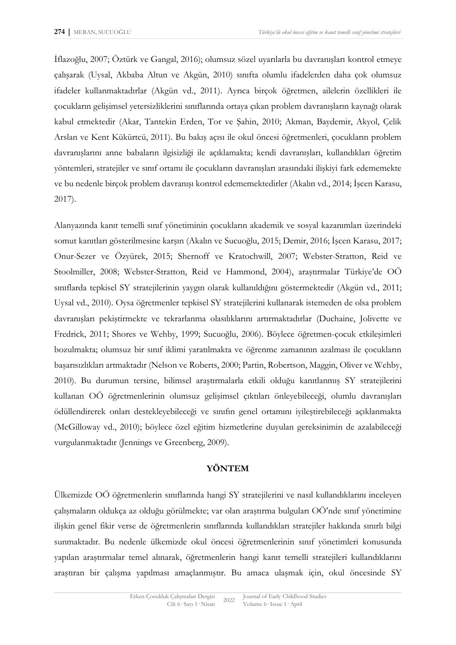İflazoğlu, 2007; Öztürk ve Gangal, 2016); olumsuz sözel uyarılarla bu davranışları kontrol etmeye çalışarak (Uysal, Akbaba Altun ve Akgün, 2010) sınıfta olumlu ifadelerden daha çok olumsuz ifadeler kullanmaktadırlar (Akgün vd., 2011). Ayrıca birçok öğretmen, ailelerin özellikleri ile çocukların gelişimsel yetersizliklerini sınıflarında ortaya çıkan problem davranışların kaynağı olarak kabul etmektedir (Akar, Tantekin Erden, Tor ve Şahin, 2010; Akman, Baydemir, Akyol, Çelik Arslan ve Kent Kükürtcü, 2011). Bu bakış açısı ile okul öncesi öğretmenleri, çocukların problem davranışlarını anne babaların ilgisizliği ile açıklamakta; kendi davranışları, kullandıkları öğretim yöntemleri, stratejiler ve sınıf ortamı ile çocukların davranışları arasındaki ilişkiyi fark edememekte ve bu nedenle birçok problem davranışı kontrol edememektedirler (Akalın vd., 2014; İşcen Karasu, 2017).

Alanyazında kanıt temelli sınıf yönetiminin çocukların akademik ve sosyal kazanımları üzerindeki somut kanıtları gösterilmesine karşın (Akalın ve Sucuoğlu, 2015; Demir, 2016; İşcen Karasu, 2017; Onur-Sezer ve Özyürek, 2015; Shernoff ve Kratochwill, 2007; Webster-Stratton, Reid ve Stoolmiller, 2008; Webster-Stratton, Reid ve Hammond, 2004), araştırmalar Türkiye'de OÖ sınıflarda tepkisel SY stratejilerinin yaygın olarak kullanıldığını göstermektedir (Akgün vd., 2011; Uysal vd., 2010). Oysa öğretmenler tepkisel SY stratejilerini kullanarak istemeden de olsa problem davranışları pekiştirmekte ve tekrarlanma olasılıklarını artırmaktadırlar (Duchaine, Jolivette ve Fredrick, 2011; Shores ve Wehby, 1999; Sucuoğlu, 2006). Böylece öğretmen-çocuk etkileşimleri bozulmakta; olumsuz bir sınıf iklimi yaratılmakta ve öğrenme zamanının azalması ile çocukların başarısızlıkları artmaktadır (Nelson ve Roberts, 2000; Partin, Robertson, Maggin, Oliver ve Wehby, 2010). Bu durumun tersine, bilimsel araştırmalarla etkili olduğu kanıtlanmış SY stratejilerini kullanan OÖ öğretmenlerinin olumsuz gelişimsel çıktıları önleyebileceği, olumlu davranışları ödüllendirerek onları destekleyebileceği ve sınıfın genel ortamını iyileştirebileceği açıklanmakta (McGilloway vd., 2010); böylece özel eğitim hizmetlerine duyulan gereksinimin de azalabileceği vurgulanmaktadır (Jennings ve Greenberg, 2009).

#### **YÖNTEM**

Ülkemizde OÖ öğretmenlerin sınıflarında hangi SY stratejilerini ve nasıl kullandıklarını inceleyen çalışmaların oldukça az olduğu görülmekte; var olan araştırma bulguları OÖ'nde sınıf yönetimine ilişkin genel fikir verse de öğretmenlerin sınıflarında kullandıkları stratejiler hakkında sınırlı bilgi sunmaktadır. Bu nedenle ülkemizde okul öncesi öğretmenlerinin sınıf yönetimleri konusunda yapılan araştırmalar temel alınarak, öğretmenlerin hangi kanıt temelli stratejileri kullandıklarını araştıran bir çalışma yapılması amaçlanmıştır. Bu amaca ulaşmak için, okul öncesinde SY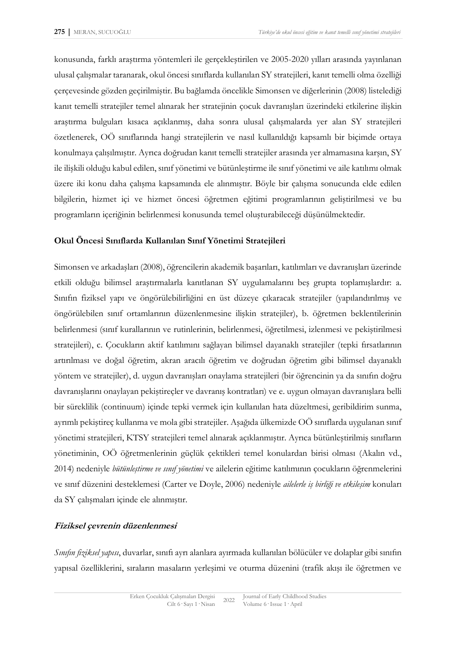konusunda, farklı araştırma yöntemleri ile gerçekleştirilen ve 2005-2020 yılları arasında yayınlanan ulusal çalışmalar taranarak, okul öncesi sınıflarda kullanılan SY stratejileri, kanıt temelli olma özelliği çerçevesinde gözden geçirilmiştir. Bu bağlamda öncelikle Simonsen ve diğerlerinin (2008) listelediği kanıt temelli stratejiler temel alınarak her stratejinin çocuk davranışları üzerindeki etkilerine ilişkin araştırma bulguları kısaca açıklanmış, daha sonra ulusal çalışmalarda yer alan SY stratejileri özetlenerek, OÖ sınıflarında hangi stratejilerin ve nasıl kullanıldığı kapsamlı bir biçimde ortaya konulmaya çalışılmıştır. Ayrıca doğrudan kanıt temelli stratejiler arasında yer almamasına karşın, SY ile ilişkili olduğu kabul edilen, sınıf yönetimi ve bütünleştirme ile sınıf yönetimi ve aile katılımı olmak üzere iki konu daha çalışma kapsamında ele alınmıştır. Böyle bir çalışma sonucunda elde edilen bilgilerin, hizmet içi ve hizmet öncesi öğretmen eğitimi programlarının geliştirilmesi ve bu programların içeriğinin belirlenmesi konusunda temel oluşturabileceği düşünülmektedir.

### **Okul Öncesi Sınıflarda Kullanılan Sınıf Yönetimi Stratejileri**

Simonsen ve arkadaşları (2008), öğrencilerin akademik başarıları, katılımları ve davranışları üzerinde etkili olduğu bilimsel araştırmalarla kanıtlanan SY uygulamalarını beş grupta toplamışlardır: a. Sınıfın fiziksel yapı ve öngörülebilirliğini en üst düzeye çıkaracak stratejiler (yapılandırılmış ve öngörülebilen sınıf ortamlarının düzenlenmesine ilişkin stratejiler), b. öğretmen beklentilerinin belirlenmesi (sınıf kurallarının ve rutinlerinin, belirlenmesi, öğretilmesi, izlenmesi ve pekiştirilmesi stratejileri), c. Çocukların aktif katılımını sağlayan bilimsel dayanaklı stratejiler (tepki fırsatlarının artırılması ve doğal öğretim, akran aracılı öğretim ve doğrudan öğretim gibi bilimsel dayanaklı yöntem ve stratejiler), d. uygun davranışları onaylama stratejileri (bir öğrencinin ya da sınıfın doğru davranışlarını onaylayan pekiştireçler ve davranış kontratları) ve e. uygun olmayan davranışlara belli bir süreklilik (continuum) içinde tepki vermek için kullanılan hata düzeltmesi, geribildirim sunma, ayrımlı pekiştireç kullanma ve mola gibi stratejiler. Aşağıda ülkemizde OÖ sınıflarda uygulanan sınıf yönetimi stratejileri, KTSY stratejileri temel alınarak açıklanmıştır. Ayrıca bütünleştirilmiş sınıfların yönetiminin, OÖ öğretmenlerinin güçlük çektikleri temel konulardan birisi olması (Akalın vd., 2014) nedeniyle *bütünleştirme ve sınıf yönetimi* ve ailelerin eğitime katılımının çocukların öğrenmelerini ve sınıf düzenini desteklemesi (Carter ve Doyle, 2006) nedeniyle *ailelerle iş birliği ve etkileşim* konuları da SY çalışmaları içinde ele alınmıştır.

## **Fiziksel çevrenin düzenlenmesi**

*Sınıfın fiziksel yapısı*, duvarlar, sınıfı ayrı alanlara ayırmada kullanılan bölücüler ve dolaplar gibi sınıfın yapısal özelliklerini, sıraların masaların yerleşimi ve oturma düzenini (trafik akışı ile öğretmen ve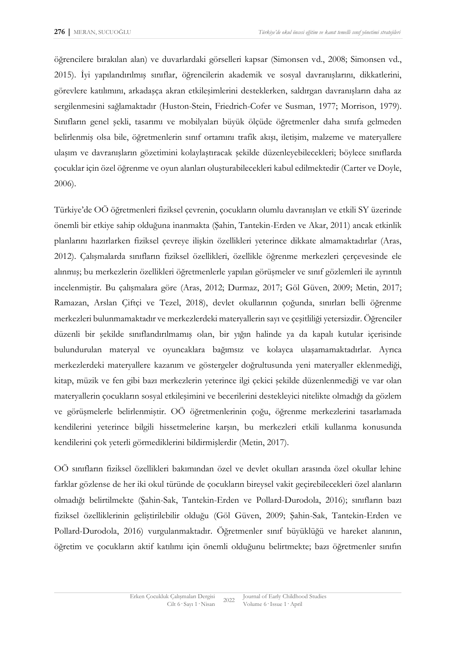öğrencilere bırakılan alan) ve duvarlardaki görselleri kapsar (Simonsen vd., 2008; Simonsen vd., 2015). İyi yapılandırılmış sınıflar, öğrencilerin akademik ve sosyal davranışlarını, dikkatlerini, görevlere katılımını, arkadaşça akran etkileşimlerini desteklerken, saldırgan davranışların daha az sergilenmesini sağlamaktadır (Huston-Stein, Friedrich-Cofer ve Susman, 1977; Morrison, 1979). Sınıfların genel şekli, tasarımı ve mobilyaları büyük ölçüde öğretmenler daha sınıfa gelmeden belirlenmiş olsa bile, öğretmenlerin sınıf ortamını trafik akışı, iletişim, malzeme ve materyallere ulaşım ve davranışların gözetimini kolaylaştıracak şekilde düzenleyebilecekleri; böylece sınıflarda çocuklar için özel öğrenme ve oyun alanları oluşturabilecekleri kabul edilmektedir (Carter ve Doyle, 2006).

Türkiye'de OÖ öğretmenleri fiziksel çevrenin, çocukların olumlu davranışları ve etkili SY üzerinde önemli bir etkiye sahip olduğuna inanmakta (Şahin, Tantekin-Erden ve Akar, 2011) ancak etkinlik planlarını hazırlarken fiziksel çevreye ilişkin özellikleri yeterince dikkate almamaktadırlar (Aras, 2012). Çalışmalarda sınıfların fiziksel özellikleri, özellikle öğrenme merkezleri çerçevesinde ele alınmış; bu merkezlerin özellikleri öğretmenlerle yapılan görüşmeler ve sınıf gözlemleri ile ayrıntılı incelenmiştir. Bu çalışmalara göre (Aras, 2012; Durmaz, 2017; Göl Güven, 2009; Metin, 2017; Ramazan, Arslan Çiftçi ve Tezel, 2018), devlet okullarının çoğunda, sınırları belli öğrenme merkezleri bulunmamaktadır ve merkezlerdeki materyallerin sayı ve çeşitliliği yetersizdir. Öğrenciler düzenli bir şekilde sınıflandırılmamış olan, bir yığın halinde ya da kapalı kutular içerisinde bulundurulan materyal ve oyuncaklara bağımsız ve kolayca ulaşamamaktadırlar. Ayrıca merkezlerdeki materyallere kazanım ve göstergeler doğrultusunda yeni materyaller eklenmediği, kitap, müzik ve fen gibi bazı merkezlerin yeterince ilgi çekici şekilde düzenlenmediği ve var olan materyallerin çocukların sosyal etkileşimini ve becerilerini destekleyici nitelikte olmadığı da gözlem ve görüşmelerle belirlenmiştir. OÖ öğretmenlerinin çoğu, öğrenme merkezlerini tasarlamada kendilerini yeterince bilgili hissetmelerine karşın, bu merkezleri etkili kullanma konusunda kendilerini çok yeterli görmediklerini bildirmişlerdir (Metin, 2017).

OÖ sınıfların fiziksel özellikleri bakımından özel ve devlet okulları arasında özel okullar lehine farklar gözlense de her iki okul türünde de çocukların bireysel vakit geçirebilecekleri özel alanların olmadığı belirtilmekte (Şahin-Sak, Tantekin-Erden ve Pollard-Durodola, 2016); sınıfların bazı fiziksel özelliklerinin geliştirilebilir olduğu (Göl Güven, 2009; Şahin-Sak, Tantekin-Erden ve Pollard-Durodola, 2016) vurgulanmaktadır. Öğretmenler sınıf büyüklüğü ve hareket alanının, öğretim ve çocukların aktif katılımı için önemli olduğunu belirtmekte; bazı öğretmenler sınıfın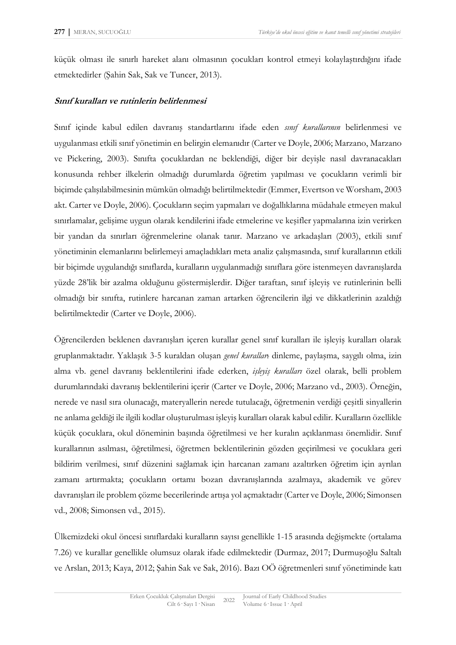küçük olması ile sınırlı hareket alanı olmasının çocukları kontrol etmeyi kolaylaştırdığını ifade etmektedirler (Şahin Sak, Sak ve Tuncer, 2013).

### **Sınıf kuralları ve rutinlerin belirlenmesi**

Sınıf içinde kabul edilen davranış standartlarını ifade eden *sınıf kurallarının* belirlenmesi ve uygulanması etkili sınıf yönetimin en belirgin elemanıdır (Carter ve Doyle, 2006; Marzano, Marzano ve Pickering, 2003). Sınıfta çocuklardan ne beklendiği, diğer bir deyişle nasıl davranacakları konusunda rehber ilkelerin olmadığı durumlarda öğretim yapılması ve çocukların verimli bir biçimde çalışılabilmesinin mümkün olmadığı belirtilmektedir (Emmer, Evertson ve Worsham, 2003 akt. Carter ve Doyle, 2006). Çocukların seçim yapmaları ve doğallıklarına müdahale etmeyen makul sınırlamalar, gelişime uygun olarak kendilerini ifade etmelerine ve keşifler yapmalarına izin verirken bir yandan da sınırları öğrenmelerine olanak tanır. Marzano ve arkadaşları (2003), etkili sınıf yönetiminin elemanlarını belirlemeyi amaçladıkları meta analiz çalışmasında, sınıf kurallarının etkili bir biçimde uygulandığı sınıflarda, kuralların uygulanmadığı sınıflara göre istenmeyen davranışlarda yüzde 28'lik bir azalma olduğunu göstermişlerdir. Diğer taraftan, sınıf işleyiş ve rutinlerinin belli olmadığı bir sınıfta, rutinlere harcanan zaman artarken öğrencilerin ilgi ve dikkatlerinin azaldığı belirtilmektedir (Carter ve Doyle, 2006).

Öğrencilerden beklenen davranışları içeren kurallar genel sınıf kuralları ile işleyiş kuralları olarak gruplanmaktadır. Yaklaşık 3-5 kuraldan oluşan *genel kurallar*: dinleme, paylaşma, saygılı olma, izin alma vb. genel davranış beklentilerini ifade ederken, *işleyiş kuralları* özel olarak, belli problem durumlarındaki davranış beklentilerini içerir (Carter ve Doyle, 2006; Marzano vd., 2003). Örneğin, nerede ve nasıl sıra olunacağı, materyallerin nerede tutulacağı, öğretmenin verdiği çeşitli sinyallerin ne anlama geldiği ile ilgili kodlar oluşturulması işleyiş kuralları olarak kabul edilir. Kuralların özellikle küçük çocuklara, okul döneminin başında öğretilmesi ve her kuralın açıklanması önemlidir. Sınıf kurallarının asılması, öğretilmesi, öğretmen beklentilerinin gözden geçirilmesi ve çocuklara geri bildirim verilmesi, sınıf düzenini sağlamak için harcanan zamanı azaltırken öğretim için ayrılan zamanı artırmakta; çocukların ortamı bozan davranışlarında azalmaya, akademik ve görev davranışları ile problem çözme becerilerinde artışa yol açmaktadır (Carter ve Doyle, 2006; Simonsen vd., 2008; Simonsen vd., 2015).

Ülkemizdeki okul öncesi sınıflardaki kuralların sayısı genellikle 1-15 arasında değişmekte (ortalama 7.26) ve kurallar genellikle olumsuz olarak ifade edilmektedir (Durmaz, 2017; Durmuşoğlu Saltalı ve Arslan, 2013; Kaya, 2012; Şahin Sak ve Sak, 2016). Bazı OÖ öğretmenleri sınıf yönetiminde katı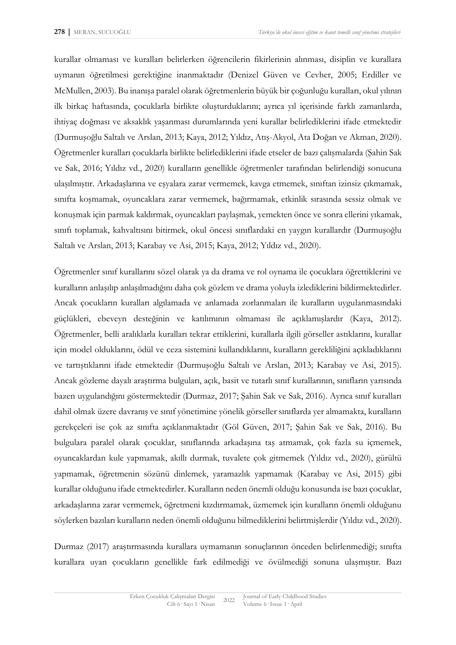kurallar olmaması ve kuralları belirlerken öğrencilerin fikirlerinin alınması, disiplin ve kurallara uymanın öğretilmesi gerektiğine inanmaktadır (Denizel Güven ve Cevher, 2005; Erdiller ve McMullen, 2003). Bu inanışa paralel olarak öğretmenlerin büyük bir çoğunluğu kuralları, okul yılının ilk birkaç haftasında, çocuklarla birlikte oluşturduklarını; ayrıca yıl içerisinde farklı zamanlarda, ihtiyaç doğması ve aksaklık yaşanması durumlarında yeni kurallar belirlediklerini ifade etmektedir (Durmuşoğlu Saltalı ve Arslan, 2013; Kaya, 2012; Yıldız, Atış-Akyol, Ata Doğan ve Akman, 2020). Öğretmenler kuralları çocuklarla birlikte belirlediklerini ifade etseler de bazı çalışmalarda (Şahin Sak ve Sak, 2016; Yıldız vd., 2020) kuralların genellikle öğretmenler tarafından belirlendiği sonucuna ulaşılmıştır. Arkadaşlarına ve eşyalara zarar vermemek, kavga etmemek, sınıftan izinsiz çıkmamak, sınıfta koşmamak, oyuncaklara zarar vermemek, bağırmamak, etkinlik sırasında sessiz olmak ve konuşmak için parmak kaldırmak, oyuncakları paylaşmak, yemekten önce ve sonra ellerini yıkamak, sınıfı toplamak, kahvaltısını bitirmek, okul öncesi sınıflardaki en yaygın kurallardır (Durmuşoğlu Saltalı ve Arslan, 2013; Karabay ve Asi, 2015; Kaya, 2012; Yıldız vd., 2020).

Öğretmenler sınıf kurallarını sözel olarak ya da drama ve rol oynama ile çocuklara öğrettiklerini ve kuralların anlaşılıp anlaşılmadığını daha çok gözlem ve drama yoluyla izlediklerini bildirmektedirler. Ancak çocukların kuralları algılamada ve anlamada zorlanmaları ile kuralların uygulanmasındaki güçlükleri, ebeveyn desteğinin ve katılımının olmaması ile açıklamışlardır (Kaya, 2012). Öğretmenler, belli aralıklarla kuralları tekrar ettiklerini, kurallarla ilgili görseller astıklarını, kurallar için model olduklarını, ödül ve ceza sistemini kullandıklarını, kuralların gerekliliğini açıkladıklarını ve tartıştıklarını ifade etmektedir (Durmuşoğlu Saltalı ve Arslan, 2013; Karabay ve Asi, 2015). Ancak gözleme dayalı araştırma bulguları, açık, basit ve tutarlı sınıf kurallarının, sınıfların yarısında bazen uygulandığını göstermektedir (Durmaz, 2017; Şahin Sak ve Sak, 2016). Ayrıca sınıf kuralları dahil olmak üzere davranış ve sınıf yönetimine yönelik görseller sınıflarda yer almamakta, kuralların gerekçeleri ise çok az sınıfta açıklanmaktadır (Göl Güven, 2017; Şahin Sak ve Sak, 2016). Bu bulgulara paralel olarak çocuklar, sınıflarında arkadaşına taş atmamak, çok fazla su içmemek, oyuncaklardan kule yapmamak, akıllı durmak, tuvalete çok gitmemek (Yıldız vd., 2020), gürültü yapmamak, öğretmenin sözünü dinlemek, yaramazlık yapmamak (Karabay ve Asi, 2015) gibi kurallar olduğunu ifade etmektedirler. Kuralların neden önemli olduğu konusunda ise bazı çocuklar, arkadaşlarına zarar vermemek, öğretmeni kızdırmamak, üzmemek için kuralların önemli olduğunu söylerken bazıları kuralların neden önemli olduğunu bilmediklerini belirtmişlerdir (Yıldız vd., 2020).

Durmaz (2017) araştırmasında kurallara uymamanın sonuçlarının önceden belirlenmediği; sınıfta kurallara uyan çocukların genellikle fark edilmediği ve övülmediği sonuna ulaşmıştır. Bazı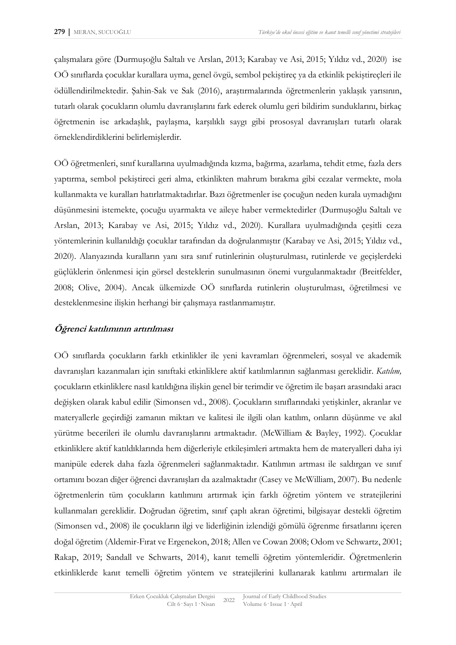çalışmalara göre (Durmuşoğlu Saltalı ve Arslan, 2013; Karabay ve Asi, 2015; Yıldız vd., 2020) ise OÖ sınıflarda çocuklar kurallara uyma, genel övgü, sembol pekiştireç ya da etkinlik pekiştireçleri ile ödüllendirilmektedir. Şahin-Sak ve Sak (2016), araştırmalarında öğretmenlerin yaklaşık yarısının, tutarlı olarak çocukların olumlu davranışlarını fark ederek olumlu geri bildirim sunduklarını, birkaç öğretmenin ise arkadaşlık, paylaşma, karşılıklı saygı gibi prososyal davranışları tutarlı olarak örneklendirdiklerini belirlemişlerdir.

OÖ öğretmenleri, sınıf kurallarına uyulmadığında kızma, bağırma, azarlama, tehdit etme, fazla ders yaptırma, sembol pekiştireci geri alma, etkinlikten mahrum bırakma gibi cezalar vermekte, mola kullanmakta ve kuralları hatırlatmaktadırlar. Bazı öğretmenler ise çocuğun neden kurala uymadığını düşünmesini istemekte, çocuğu uyarmakta ve aileye haber vermektedirler (Durmuşoğlu Saltalı ve Arslan, 2013; Karabay ve Asi, 2015; Yıldız vd., 2020). Kurallara uyulmadığında çeşitli ceza yöntemlerinin kullanıldığı çocuklar tarafından da doğrulanmıştır (Karabay ve Asi, 2015; Yıldız vd., 2020). Alanyazında kuralların yanı sıra sınıf rutinlerinin oluşturulması, rutinlerde ve geçişlerdeki güçlüklerin önlenmesi için görsel desteklerin sunulmasının önemi vurgulanmaktadır (Breitfelder, 2008; Olive, 2004). Ancak ülkemizde OÖ sınıflarda rutinlerin oluşturulması, öğretilmesi ve desteklenmesine ilişkin herhangi bir çalışmaya rastlanmamıştır.

## **Öğrenci katılımının artırılması**

OÖ sınıflarda çocukların farklı etkinlikler ile yeni kavramları öğrenmeleri, sosyal ve akademik davranışları kazanmaları için sınıftaki etkinliklere aktif katılımlarının sağlanması gereklidir. *Katılım,* çocukların etkinliklere nasıl katıldığına ilişkin genel bir terimdir ve öğretim ile başarı arasındaki aracı değişken olarak kabul edilir (Simonsen vd., 2008). Çocukların sınıflarındaki yetişkinler, akranlar ve materyallerle geçirdiği zamanın miktarı ve kalitesi ile ilgili olan katılım, onların düşünme ve akıl yürütme becerileri ile olumlu davranışlarını artmaktadır. (McWilliam & Bayley, 1992). Çocuklar etkinliklere aktif katıldıklarında hem diğerleriyle etkileşimleri artmakta hem de materyalleri daha iyi manipüle ederek daha fazla öğrenmeleri sağlanmaktadır. Katılımın artması ile saldırgan ve sınıf ortamını bozan diğer öğrenci davranışları da azalmaktadır (Casey ve McWilliam, 2007). Bu nedenle öğretmenlerin tüm çocukların katılımını artırmak için farklı öğretim yöntem ve stratejilerini kullanmaları gereklidir. Doğrudan öğretim, sınıf çaplı akran öğretimi, bilgisayar destekli öğretim (Simonsen vd., 2008) ile çocukların ilgi ve liderliğinin izlendiği gömülü öğrenme fırsatlarını içeren doğal öğretim (Aldemir-Fırat ve Ergenekon, 2018; Allen ve Cowan 2008; Odom ve Schwartz, 2001; Rakap, 2019; Sandall ve Schwarts, 2014), kanıt temelli öğretim yöntemleridir. Öğretmenlerin etkinliklerde kanıt temelli öğretim yöntem ve stratejilerini kullanarak katılımı artırmaları ile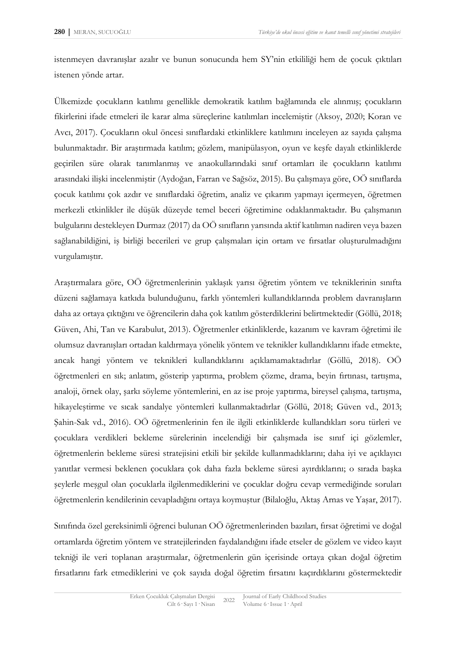istenmeyen davranışlar azalır ve bunun sonucunda hem SY'nin etkililiği hem de çocuk çıktıları istenen yönde artar.

Ülkemizde çocukların katılımı genellikle demokratik katılım bağlamında ele alınmış; çocukların fikirlerini ifade etmeleri ile karar alma süreçlerine katılımları incelemiştir (Aksoy, 2020; Koran ve Avcı, 2017). Çocukların okul öncesi sınıflardaki etkinliklere katılımını inceleyen az sayıda çalışma bulunmaktadır. Bir araştırmada katılım; gözlem, manipülasyon, oyun ve keşfe dayalı etkinliklerde geçirilen süre olarak tanımlanmış ve anaokullarındaki sınıf ortamları ile çocukların katılımı arasındaki ilişki incelenmiştir (Aydoğan, Farran ve Sağsöz, 2015). Bu çalışmaya göre, OÖ sınıflarda çocuk katılımı çok azdır ve sınıflardaki öğretim, analiz ve çıkarım yapmayı içermeyen, öğretmen merkezli etkinlikler ile düşük düzeyde temel beceri öğretimine odaklanmaktadır. Bu çalışmanın bulgularını destekleyen Durmaz (2017) da OÖ sınıfların yarısında aktif katılımın nadiren veya bazen sağlanabildiğini, iş birliği becerileri ve grup çalışmaları için ortam ve fırsatlar oluşturulmadığını vurgulamıştır.

Araştırmalara göre, OÖ öğretmenlerinin yaklaşık yarısı öğretim yöntem ve tekniklerinin sınıfta düzeni sağlamaya katkıda bulunduğunu, farklı yöntemleri kullandıklarında problem davranışların daha az ortaya çıktığını ve öğrencilerin daha çok katılım gösterdiklerini belirtmektedir (Göllü, 2018; Güven, Ahi, Tan ve Karabulut, 2013). Öğretmenler etkinliklerde, kazanım ve kavram öğretimi ile olumsuz davranışları ortadan kaldırmaya yönelik yöntem ve teknikler kullandıklarını ifade etmekte, ancak hangi yöntem ve teknikleri kullandıklarını açıklamamaktadırlar (Göllü, 2018). OÖ öğretmenleri en sık; anlatım, gösterip yaptırma, problem çözme, drama, beyin fırtınası, tartışma, analoji, örnek olay, şarkı söyleme yöntemlerini, en az ise proje yaptırma, bireysel çalışma, tartışma, hikayeleştirme ve sıcak sandalye yöntemleri kullanmaktadırlar (Göllü, 2018; Güven vd., 2013; Şahin-Sak vd., 2016). OÖ öğretmenlerinin fen ile ilgili etkinliklerde kullandıkları soru türleri ve çocuklara verdikleri bekleme sürelerinin incelendiği bir çalışmada ise sınıf içi gözlemler, öğretmenlerin bekleme süresi stratejisini etkili bir şekilde kullanmadıklarını; daha iyi ve açıklayıcı yanıtlar vermesi beklenen çocuklara çok daha fazla bekleme süresi ayırdıklarını; o sırada başka şeylerle meşgul olan çocuklarla ilgilenmediklerini ve çocuklar doğru cevap vermediğinde soruları öğretmenlerin kendilerinin cevapladığını ortaya koymuştur (Bilaloğlu, Aktaş Arnas ve Yaşar, 2017).

Sınıfında özel gereksinimli öğrenci bulunan OÖ öğretmenlerinden bazıları, fırsat öğretimi ve doğal ortamlarda öğretim yöntem ve stratejilerinden faydalandığını ifade etseler de gözlem ve video kayıt tekniği ile veri toplanan araştırmalar, öğretmenlerin gün içerisinde ortaya çıkan doğal öğretim fırsatlarını fark etmediklerini ve çok sayıda doğal öğretim fırsatını kaçırdıklarını göstermektedir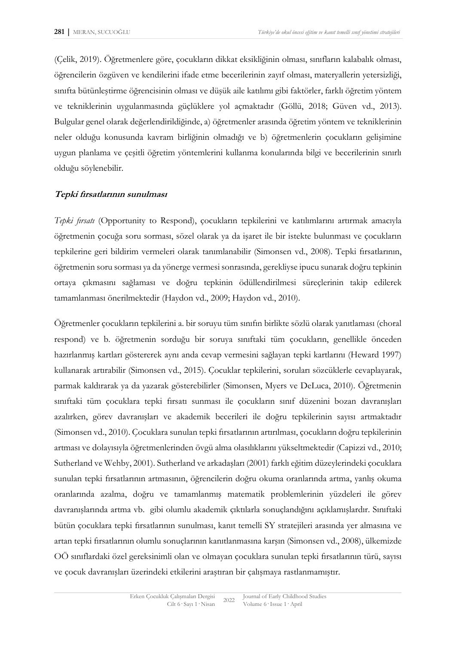(Çelik, 2019). Öğretmenlere göre, çocukların dikkat eksikliğinin olması, sınıfların kalabalık olması, öğrencilerin özgüven ve kendilerini ifade etme becerilerinin zayıf olması, materyallerin yetersizliği, sınıfta bütünleştirme öğrencisinin olması ve düşük aile katılımı gibi faktörler, farklı öğretim yöntem ve tekniklerinin uygulanmasında güçlüklere yol açmaktadır (Göllü, 2018; Güven vd., 2013). Bulgular genel olarak değerlendirildiğinde, a) öğretmenler arasında öğretim yöntem ve tekniklerinin neler olduğu konusunda kavram birliğinin olmadığı ve b) öğretmenlerin çocukların gelişimine uygun planlama ve çeşitli öğretim yöntemlerini kullanma konularında bilgi ve becerilerinin sınırlı olduğu söylenebilir.

### **Tepki fırsatlarının sunulması**

*Tepki fırsatı* (Opportunity to Respond), çocukların tepkilerini ve katılımlarını artırmak amacıyla öğretmenin çocuğa soru sorması, sözel olarak ya da işaret ile bir istekte bulunması ve çocukların tepkilerine geri bildirim vermeleri olarak tanımlanabilir (Simonsen vd., 2008). Tepki fırsatlarının, öğretmenin soru sorması ya da yönerge vermesi sonrasında, gerekliyse ipucu sunarak doğru tepkinin ortaya çıkmasını sağlaması ve doğru tepkinin ödüllendirilmesi süreçlerinin takip edilerek tamamlanması önerilmektedir (Haydon vd., 2009; Haydon vd., 2010).

Öğretmenler çocukların tepkilerini a. bir soruyu tüm sınıfın birlikte sözlü olarak yanıtlaması (choral respond) ve b. öğretmenin sorduğu bir soruya sınıftaki tüm çocukların, genellikle önceden hazırlanmış kartları göstererek aynı anda cevap vermesini sağlayan tepki kartlarını (Heward 1997) kullanarak artırabilir (Simonsen vd., 2015). Çocuklar tepkilerini, soruları sözcüklerle cevaplayarak, parmak kaldırarak ya da yazarak gösterebilirler (Simonsen, Myers ve DeLuca, 2010). Öğretmenin sınıftaki tüm çocuklara tepki fırsatı sunması ile çocukların sınıf düzenini bozan davranışları azalırken, görev davranışları ve akademik becerileri ile doğru tepkilerinin sayısı artmaktadır (Simonsen vd., 2010). Çocuklara sunulan tepki fırsatlarının artırılması, çocukların doğru tepkilerinin artması ve dolayısıyla öğretmenlerinden övgü alma olasılıklarını yükseltmektedir (Capizzi vd., 2010; Sutherland ve Wehby, 2001). Sutherland ve arkadaşları (2001) farklı eğitim düzeylerindeki çocuklara sunulan tepki fırsatlarının artmasının, öğrencilerin doğru okuma oranlarında artma, yanlış okuma oranlarında azalma, doğru ve tamamlanmış matematik problemlerinin yüzdeleri ile görev davranışlarında artma vb. gibi olumlu akademik çıktılarla sonuçlandığını açıklamışlardır. Sınıftaki bütün çocuklara tepki fırsatlarının sunulması, kanıt temelli SY stratejileri arasında yer almasına ve artan tepki fırsatlarının olumlu sonuçlarının kanıtlanmasına karşın (Simonsen vd., 2008), ülkemizde OÖ sınıflardaki özel gereksinimli olan ve olmayan çocuklara sunulan tepki fırsatlarının türü, sayısı ve çocuk davranışları üzerindeki etkilerini araştıran bir çalışmaya rastlanmamıştır.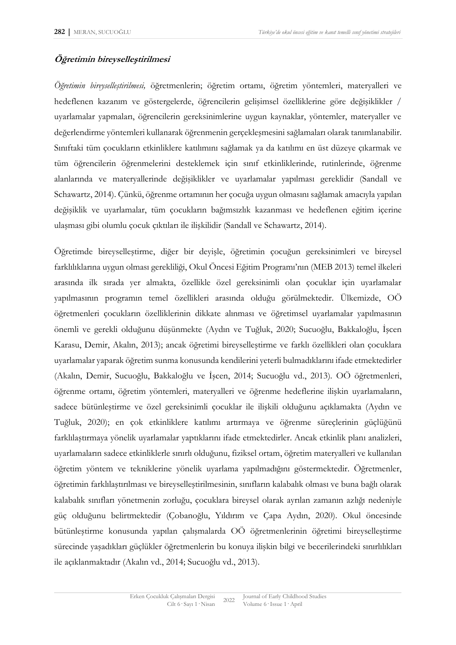# **Öğretimin bireyselleştirilmesi**

*Öğretimin bireyselleştirilmesi,* öğretmenlerin; öğretim ortamı, öğretim yöntemleri, materyalleri ve hedeflenen kazanım ve göstergelerde, öğrencilerin gelişimsel özelliklerine göre değişiklikler / uyarlamalar yapmaları, öğrencilerin gereksinimlerine uygun kaynaklar, yöntemler, materyaller ve değerlendirme yöntemleri kullanarak öğrenmenin gerçekleşmesini sağlamaları olarak tanımlanabilir. Sınıftaki tüm çocukların etkinliklere katılımını sağlamak ya da katılımı en üst düzeye çıkarmak ve tüm öğrencilerin öğrenmelerini desteklemek için sınıf etkinliklerinde, rutinlerinde, öğrenme alanlarında ve materyallerinde değişiklikler ve uyarlamalar yapılması gereklidir (Sandall ve Schawartz, 2014). Çünkü, öğrenme ortamının her çocuğa uygun olmasını sağlamak amacıyla yapılan değişiklik ve uyarlamalar, tüm çocukların bağımsızlık kazanması ve hedeflenen eğitim içerine ulaşması gibi olumlu çocuk çıktıları ile ilişkilidir (Sandall ve Schawartz, 2014).

Öğretimde bireyselleştirme, diğer bir deyişle, öğretimin çocuğun gereksinimleri ve bireysel farklılıklarına uygun olması gerekliliği, Okul Öncesi Eğitim Programı'nın (MEB 2013) temel ilkeleri arasında ilk sırada yer almakta, özellikle özel gereksinimli olan çocuklar için uyarlamalar yapılmasının programın temel özellikleri arasında olduğu görülmektedir. Ülkemizde, OÖ öğretmenleri çocukların özelliklerinin dikkate alınması ve öğretimsel uyarlamalar yapılmasının önemli ve gerekli olduğunu düşünmekte (Aydın ve Tuğluk, 2020; Sucuoğlu, Bakkaloğlu, İşcen Karasu, Demir, Akalın, 2013); ancak öğretimi bireyselleştirme ve farklı özellikleri olan çocuklara uyarlamalar yaparak öğretim sunma konusunda kendilerini yeterli bulmadıklarını ifade etmektedirler (Akalın, Demir, Sucuoğlu, Bakkaloğlu ve İşcen, 2014; Sucuoğlu vd., 2013). OÖ öğretmenleri, öğrenme ortamı, öğretim yöntemleri, materyalleri ve öğrenme hedeflerine ilişkin uyarlamaların, sadece bütünleştirme ve özel gereksinimli çocuklar ile ilişkili olduğunu açıklamakta (Aydın ve Tuğluk, 2020); en çok etkinliklere katılımı artırmaya ve öğrenme süreçlerinin güçlüğünü farklılaştırmaya yönelik uyarlamalar yaptıklarını ifade etmektedirler. Ancak etkinlik planı analizleri, uyarlamaların sadece etkinliklerle sınırlı olduğunu, fiziksel ortam, öğretim materyalleri ve kullanılan öğretim yöntem ve tekniklerine yönelik uyarlama yapılmadığını göstermektedir. Öğretmenler, öğretimin farklılaştırılması ve bireyselleştirilmesinin, sınıfların kalabalık olması ve buna bağlı olarak kalabalık sınıfları yönetmenin zorluğu, çocuklara bireysel olarak ayrılan zamanın azlığı nedeniyle güç olduğunu belirtmektedir (Çobanoğlu, Yıldırım ve Çapa Aydın, 2020). Okul öncesinde bütünleştirme konusunda yapılan çalışmalarda OÖ öğretmenlerinin öğretimi bireyselleştirme sürecinde yaşadıkları güçlükler öğretmenlerin bu konuya ilişkin bilgi ve becerilerindeki sınırlılıkları ile açıklanmaktadır (Akalın vd., 2014; Sucuoğlu vd., 2013).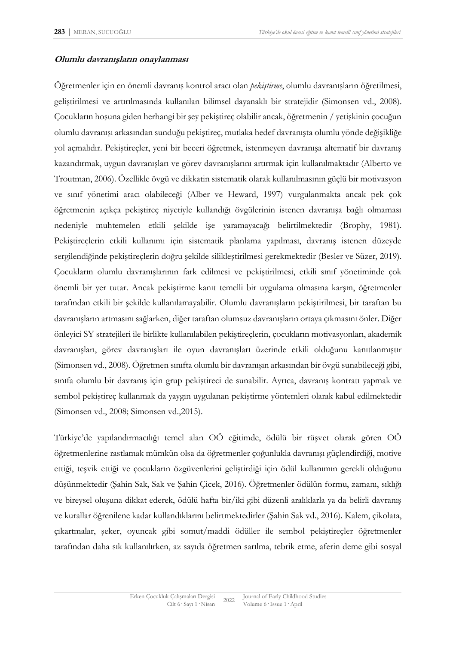#### **Olumlu davranışların onaylanması**

Öğretmenler için en önemli davranış kontrol aracı olan *pekiştirme*, olumlu davranışların öğretilmesi, geliştirilmesi ve artırılmasında kullanılan bilimsel dayanaklı bir stratejidir (Simonsen vd., 2008). Çocukların hoşuna giden herhangi bir şey pekiştireç olabilir ancak, öğretmenin / yetişkinin çocuğun olumlu davranışı arkasından sunduğu pekiştireç, mutlaka hedef davranışta olumlu yönde değişikliğe yol açmalıdır. Pekiştireçler, yeni bir beceri öğretmek, istenmeyen davranışa alternatif bir davranış kazandırmak, uygun davranışları ve görev davranışlarını artırmak için kullanılmaktadır (Alberto ve Troutman, 2006). Özellikle övgü ve dikkatin sistematik olarak kullanılmasının güçlü bir motivasyon ve sınıf yönetimi aracı olabileceği (Alber ve Heward, 1997) vurgulanmakta ancak pek çok öğretmenin açıkça pekiştireç niyetiyle kullandığı övgülerinin istenen davranışa bağlı olmaması nedeniyle muhtemelen etkili şekilde işe yaramayacağı belirtilmektedir (Brophy, 1981). Pekiştireçlerin etkili kullanımı için sistematik planlama yapılması, davranış istenen düzeyde sergilendiğinde pekiştireçlerin doğru şekilde silikleştirilmesi gerekmektedir (Besler ve Süzer, 2019). Çocukların olumlu davranışlarının fark edilmesi ve pekiştirilmesi, etkili sınıf yönetiminde çok önemli bir yer tutar. Ancak pekiştirme kanıt temelli bir uygulama olmasına karşın, öğretmenler tarafından etkili bir şekilde kullanılamayabilir. Olumlu davranışların pekiştirilmesi, bir taraftan bu davranışların artmasını sağlarken, diğer taraftan olumsuz davranışların ortaya çıkmasını önler. Diğer önleyici SY stratejileri ile birlikte kullanılabilen pekiştireçlerin, çocukların motivasyonları, akademik davranışları, görev davranışları ile oyun davranışları üzerinde etkili olduğunu kanıtlanmıştır (Simonsen vd., 2008). Öğretmen sınıfta olumlu bir davranışın arkasından bir övgü sunabileceği gibi, sınıfa olumlu bir davranış için grup pekiştireci de sunabilir. Ayrıca, davranış kontratı yapmak ve sembol pekiştireç kullanmak da yaygın uygulanan pekiştirme yöntemleri olarak kabul edilmektedir (Simonsen vd., 2008; Simonsen vd.,2015).

Türkiye'de yapılandırmacılığı temel alan OÖ eğitimde, ödülü bir rüşvet olarak gören OÖ öğretmenlerine rastlamak mümkün olsa da öğretmenler çoğunlukla davranışı güçlendirdiği, motive ettiği, teşvik ettiği ve çocukların özgüvenlerini geliştirdiği için ödül kullanımın gerekli olduğunu düşünmektedir (Şahin Sak, Sak ve Şahin Çicek, 2016). Öğretmenler ödülün formu, zamanı, sıklığı ve bireysel oluşuna dikkat ederek, ödülü hafta bir/iki gibi düzenli aralıklarla ya da belirli davranış ve kurallar öğrenilene kadar kullandıklarını belirtmektedirler (Şahin Sak vd., 2016). Kalem, çikolata, çıkartmalar, şeker, oyuncak gibi somut/maddi ödüller ile sembol pekiştireçler öğretmenler tarafından daha sık kullanılırken, az sayıda öğretmen sarılma, tebrik etme, aferin deme gibi sosyal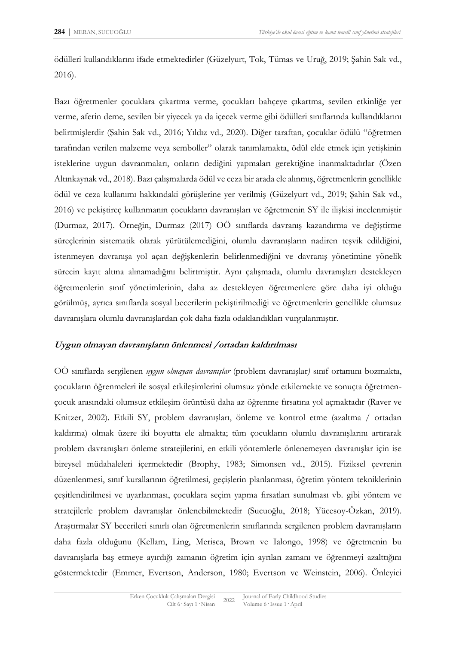ödülleri kullandıklarını ifade etmektedirler (Güzelyurt, Tok, Tümas ve Uruğ, 2019; Şahin Sak vd., 2016).

Bazı öğretmenler çocuklara çıkartma verme, çocukları bahçeye çıkartma, sevilen etkinliğe yer verme, aferin deme, sevilen bir yiyecek ya da içecek verme gibi ödülleri sınıflarında kullandıklarını belirtmişlerdir (Şahin Sak vd., 2016; Yıldız vd., 2020). Diğer taraftan, çocuklar ödülü "öğretmen tarafından verilen malzeme veya semboller" olarak tanımlamakta, ödül elde etmek için yetişkinin isteklerine uygun davranmaları, onların dediğini yapmaları gerektiğine inanmaktadırlar (Özen Altınkaynak vd., 2018). Bazı çalışmalarda ödül ve ceza bir arada ele alınmış, öğretmenlerin genellikle ödül ve ceza kullanımı hakkındaki görüşlerine yer verilmiş (Güzelyurt vd., 2019; Şahin Sak vd., 2016) ve pekiştireç kullanmanın çocukların davranışları ve öğretmenin SY ile ilişkisi incelenmiştir (Durmaz, 2017). Örneğin, Durmaz (2017) OÖ sınıflarda davranış kazandırma ve değiştirme süreçlerinin sistematik olarak yürütülemediğini, olumlu davranışların nadiren teşvik edildiğini, istenmeyen davranışa yol açan değişkenlerin belirlenmediğini ve davranış yönetimine yönelik sürecin kayıt altına alınamadığını belirtmiştir. Aynı çalışmada, olumlu davranışları destekleyen öğretmenlerin sınıf yönetimlerinin, daha az destekleyen öğretmenlere göre daha iyi olduğu görülmüş, ayrıca sınıflarda sosyal becerilerin pekiştirilmediği ve öğretmenlerin genellikle olumsuz davranışlara olumlu davranışlardan çok daha fazla odaklandıkları vurgulanmıştır.

#### **Uygun olmayan davranışların önlenmesi /ortadan kaldırılması**

OÖ sınıflarda sergilenen *uygun olmayan davranışlar* (problem davranışlar*)* sınıf ortamını bozmakta, çocukların öğrenmeleri ile sosyal etkileşimlerini olumsuz yönde etkilemekte ve sonuçta öğretmençocuk arasındaki olumsuz etkileşim örüntüsü daha az öğrenme fırsatına yol açmaktadır (Raver ve Knitzer, 2002). Etkili SY, problem davranışları, önleme ve kontrol etme (azaltma / ortadan kaldırma) olmak üzere iki boyutta ele almakta; tüm çocukların olumlu davranışlarını artırarak problem davranışları önleme stratejilerini, en etkili yöntemlerle önlenemeyen davranışlar için ise bireysel müdahaleleri içermektedir (Brophy, 1983; Simonsen vd., 2015). Fiziksel çevrenin düzenlenmesi, sınıf kurallarının öğretilmesi, geçişlerin planlanması, öğretim yöntem tekniklerinin çeşitlendirilmesi ve uyarlanması, çocuklara seçim yapma fırsatları sunulması vb. gibi yöntem ve stratejilerle problem davranışlar önlenebilmektedir (Sucuoğlu, 2018; Yücesoy-Özkan, 2019). Araştırmalar SY becerileri sınırlı olan öğretmenlerin sınıflarında sergilenen problem davranışların daha fazla olduğunu (Kellam, Ling, Merisca, Brown ve Ialongo, 1998) ve öğretmenin bu davranışlarla baş etmeye ayırdığı zamanın öğretim için ayrılan zamanı ve öğrenmeyi azalttığını göstermektedir (Emmer, Evertson, Anderson, 1980; Evertson ve Weinstein, 2006). Önleyici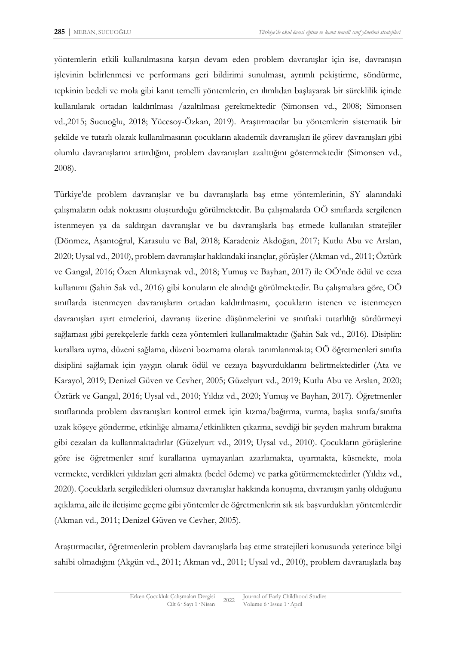yöntemlerin etkili kullanılmasına karşın devam eden problem davranışlar için ise, davranışın işlevinin belirlenmesi ve performans geri bildirimi sunulması, ayrımlı pekiştirme, söndürme, tepkinin bedeli ve mola gibi kanıt temelli yöntemlerin, en ılımlıdan başlayarak bir süreklilik içinde kullanılarak ortadan kaldırılması /azaltılması gerekmektedir (Simonsen vd., 2008; Simonsen vd.,2015; Sucuoğlu, 2018; Yücesoy-Özkan, 2019). Araştırmacılar bu yöntemlerin sistematik bir şekilde ve tutarlı olarak kullanılmasının çocukların akademik davranışları ile görev davranışları gibi olumlu davranışlarını artırdığını, problem davranışları azalttığını göstermektedir (Simonsen vd., 2008).

Türkiye'de problem davranışlar ve bu davranışlarla baş etme yöntemlerinin, SY alanındaki çalışmaların odak noktasını oluşturduğu görülmektedir. Bu çalışmalarda OÖ sınıflarda sergilenen istenmeyen ya da saldırgan davranışlar ve bu davranışlarla baş etmede kullanılan stratejiler (Dönmez, Aşantoğrul, Karasulu ve Bal, 2018; Karadeniz Akdoğan, 2017; Kutlu Abu ve Arslan, 2020; Uysal vd., 2010), problem davranışlar hakkındaki inançlar, görüşler (Akman vd., 2011; Öztürk ve Gangal, 2016; Özen Altınkaynak vd., 2018; Yumuş ve Bayhan, 2017) ile OÖ'nde ödül ve ceza kullanımı (Şahin Sak vd., 2016) gibi konuların ele alındığı görülmektedir. Bu çalışmalara göre, OÖ sınıflarda istenmeyen davranışların ortadan kaldırılmasını, çocukların istenen ve istenmeyen davranışları ayırt etmelerini, davranış üzerine düşünmelerini ve sınıftaki tutarlılığı sürdürmeyi sağlaması gibi gerekçelerle farklı ceza yöntemleri kullanılmaktadır (Şahin Sak vd., 2016). Disiplin: kurallara uyma, düzeni sağlama, düzeni bozmama olarak tanımlanmakta; OÖ öğretmenleri sınıfta disiplini sağlamak için yaygın olarak ödül ve cezaya başvurduklarını belirtmektedirler (Ata ve Karayol, 2019; Denizel Güven ve Cevher, 2005; Güzelyurt vd., 2019; Kutlu Abu ve Arslan, 2020; Öztürk ve Gangal, 2016; Uysal vd., 2010; Yıldız vd., 2020; Yumuş ve Bayhan, 2017). Öğretmenler sınıflarında problem davranışları kontrol etmek için kızma/bağırma, vurma, başka sınıfa/sınıfta uzak köşeye gönderme, etkinliğe almama/etkinlikten çıkarma, sevdiği bir şeyden mahrum bırakma gibi cezaları da kullanmaktadırlar (Güzelyurt vd., 2019; Uysal vd., 2010). Çocukların görüşlerine göre ise öğretmenler sınıf kurallarına uymayanları azarlamakta, uyarmakta, küsmekte, mola vermekte, verdikleri yıldızları geri almakta (bedel ödeme) ve parka götürmemektedirler (Yıldız vd., 2020). Çocuklarla sergiledikleri olumsuz davranışlar hakkında konuşma, davranışın yanlış olduğunu açıklama, aile ile iletişime geçme gibi yöntemler de öğretmenlerin sık sık başvurdukları yöntemlerdir (Akman vd., 2011; Denizel Güven ve Cevher, 2005).

Araştırmacılar, öğretmenlerin problem davranışlarla baş etme stratejileri konusunda yeterince bilgi sahibi olmadığını (Akgün vd., 2011; Akman vd., 2011; Uysal vd., 2010), problem davranışlarla baş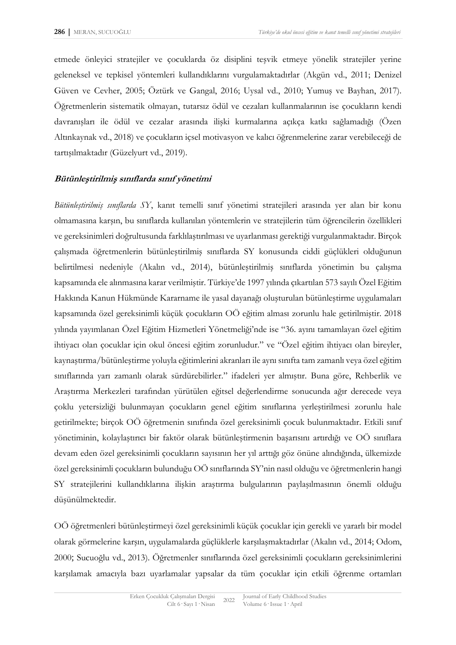etmede önleyici stratejiler ve çocuklarda öz disiplini teşvik etmeye yönelik stratejiler yerine geleneksel ve tepkisel yöntemleri kullandıklarını vurgulamaktadırlar (Akgün vd., 2011; Denizel Güven ve Cevher, 2005; Öztürk ve Gangal, 2016; Uysal vd., 2010; Yumuş ve Bayhan, 2017). Öğretmenlerin sistematik olmayan, tutarsız ödül ve cezaları kullanmalarının ise çocukların kendi davranışları ile ödül ve cezalar arasında ilişki kurmalarına açıkça katkı sağlamadığı (Özen Altınkaynak vd., 2018) ve çocukların içsel motivasyon ve kalıcı öğrenmelerine zarar verebileceği de tartışılmaktadır (Güzelyurt vd., 2019).

### **Bütünleştirilmiş sınıflarda sınıf yönetimi**

*Bütünleştirilmiş sınıflarda SY*, kanıt temelli sınıf yönetimi stratejileri arasında yer alan bir konu olmamasına karşın, bu sınıflarda kullanılan yöntemlerin ve stratejilerin tüm öğrencilerin özellikleri ve gereksinimleri doğrultusunda farklılaştırılması ve uyarlanması gerektiği vurgulanmaktadır. Birçok çalışmada öğretmenlerin bütünleştirilmiş sınıflarda SY konusunda ciddi güçlükleri olduğunun belirtilmesi nedeniyle (Akalın vd., 2014), bütünleştirilmiş sınıflarda yönetimin bu çalışma kapsamında ele alınmasına karar verilmiştir. Türkiye'de 1997 yılında çıkartılan 573 sayılı Özel Eğitim Hakkında Kanun Hükmünde Kararname ile yasal dayanağı oluşturulan bütünleştirme uygulamaları kapsamında özel gereksinimli küçük çocukların OÖ eğitim alması zorunlu hale getirilmiştir. 2018 yılında yayımlanan Özel Eğitim Hizmetleri Yönetmeliği'nde ise "36. ayını tamamlayan özel eğitim ihtiyacı olan çocuklar için okul öncesi eğitim zorunludur." ve "Özel eğitim ihtiyacı olan bireyler, kaynaştırma/bütünleştirme yoluyla eğitimlerini akranları ile aynı sınıfta tam zamanlı veya özel eğitim sınıflarında yarı zamanlı olarak sürdürebilirler." ifadeleri yer almıştır. Buna göre, Rehberlik ve Araştırma Merkezleri tarafından yürütülen eğitsel değerlendirme sonucunda ağır derecede veya çoklu yetersizliği bulunmayan çocukların genel eğitim sınıflarına yerleştirilmesi zorunlu hale getirilmekte; birçok OÖ öğretmenin sınıfında özel gereksinimli çocuk bulunmaktadır. Etkili sınıf yönetiminin, kolaylaştırıcı bir faktör olarak bütünleştirmenin başarısını artırdığı ve OÖ sınıflara devam eden özel gereksinimli çocukların sayısının her yıl arttığı göz önüne alındığında, ülkemizde özel gereksinimli çocukların bulunduğu OÖ sınıflarında SY'nin nasıl olduğu ve öğretmenlerin hangi SY stratejilerini kullandıklarına ilişkin araştırma bulgularının paylaşılmasının önemli olduğu düşünülmektedir.

OÖ öğretmenleri bütünleştirmeyi özel gereksinimli küçük çocuklar için gerekli ve yararlı bir model olarak görmelerine karşın, uygulamalarda güçlüklerle karşılaşmaktadırlar (Akalın vd., 2014; Odom, 2000; Sucuoğlu vd., 2013). Öğretmenler sınıflarında özel gereksinimli çocukların gereksinimlerini karşılamak amacıyla bazı uyarlamalar yapsalar da tüm çocuklar için etkili öğrenme ortamları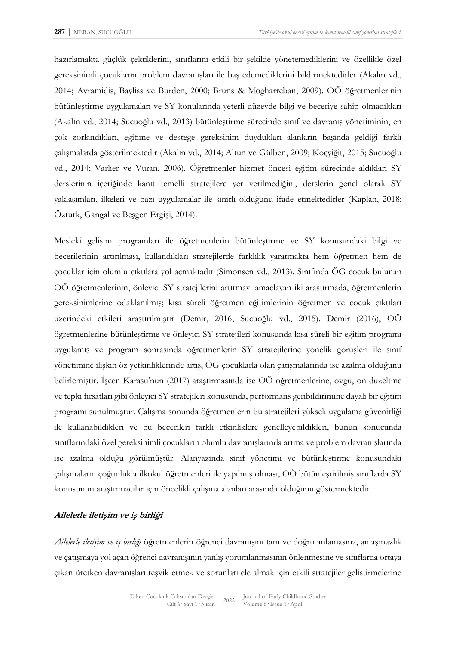hazırlamakta güçlük çektiklerini, sınıflarını etkili bir şekilde yönetemediklerini ve özellikle özel gereksinimli çocukların problem davranışları ile baş edemediklerini bildirmektedirler (Akalın vd., 2014; Avramidis, Bayliss ve Burden, 2000; Bruns & Mogharreban, 2009). OÖ öğretmenlerinin bütünleştirme uygulamaları ve SY konularında yeterli düzeyde bilgi ve beceriye sahip olmadıkları (Akalın vd., 2014; Sucuoğlu vd., 2013) bütünleştirme sürecinde sınıf ve davranış yönetiminin, en çok zorlandıkları, eğitime ve desteğe gereksinim duydukları alanların başında geldiği farklı çalışmalarda gösterilmektedir (Akalın vd., 2014; Altun ve Gülben, 2009; Koçyiğit, 2015; Sucuoğlu vd., 2014; Varlıer ve Vuran, 2006). Öğretmenler hizmet öncesi eğitim sürecinde aldıkları SY derslerinin içeriğinde kanıt temelli stratejilere yer verilmediğini, derslerin genel olarak SY yaklaşımları, ilkeleri ve bazı uygulamalar ile sınırlı olduğunu ifade etmektedirler (Kaplan, 2018; Öztürk, Gangal ve Beşgen Ergişi, 2014).

Mesleki gelişim programları ile öğretmenlerin bütünleştirme ve SY konusundaki bilgi ve becerilerinin artırılması, kullandıkları stratejilerde farklılık yaratmakta hem öğretmen hem de çocuklar için olumlu çıktılara yol açmaktadır (Simonsen vd., 2013). Sınıfında ÖG çocuk bulunan OÖ öğretmenlerinin, önleyici SY stratejilerini artırmayı amaçlayan iki araştırmada, öğretmenlerin gereksinimlerine odaklanılmış; kısa süreli öğretmen eğitimlerinin öğretmen ve çocuk çıktıları üzerindeki etkileri araştırılmıştır (Demir, 2016; Sucuoğlu vd., 2015). Demir (2016), OÖ öğretmenlerine bütünleştirme ve önleyici SY stratejileri konusunda kısa süreli bir eğitim programı uygulamış ve program sonrasında öğretmenlerin SY stratejilerine yönelik görüşleri ile sınıf yönetimine ilişkin öz yetkinliklerinde artış, ÖG çocuklarla olan çatışmalarında ise azalma olduğunu belirlemiştir. İşcen Karasu'nun (2017) araştırmasında ise OÖ öğretmenlerine, övgü, ön düzeltme ve tepki fırsatları gibi önleyici SY stratejileri konusunda, performans geribildirimine dayalı bir eğitim programı sunulmuştur. Çalışma sonunda öğretmenlerin bu stratejileri yüksek uygulama güvenirliği ile kullanabildikleri ve bu becerileri farklı etkinliklere genelleyebildikleri, bunun sonucunda sınıflarındaki özel gereksinimli çocukların olumlu davranışlarında artma ve problem davranışlarında ise azalma olduğu görülmüştür. Alanyazında sınıf yönetimi ve bütünleştirme konusundaki çalışmaların çoğunlukla ilkokul öğretmenleri ile yapılmış olması, OÖ bütünleştirilmiş sınıflarda SY konusunun araştırmacılar için öncelikli çalışma alanları arasında olduğunu göstermektedir.

## **Ailelerle iletişim ve iş birliği**

*Ailelerle iletişim ve iş birliği* öğretmenlerin öğrenci davranışını tam ve doğru anlamasına, anlaşmazlık ve çatışmaya yol açan öğrenci davranışının yanlış yorumlanmasının önlenmesine ve sınıflarda ortaya çıkan üretken davranışları teşvik etmek ve sorunları ele almak için etkili stratejiler geliştirmelerine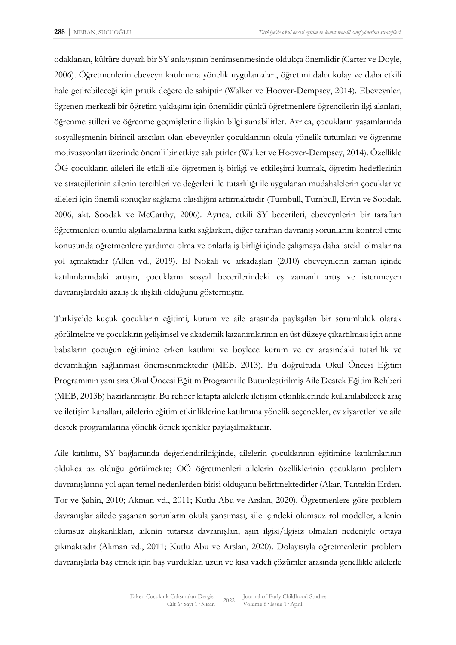odaklanan, kültüre duyarlı bir SY anlayışının benimsenmesinde oldukça önemlidir (Carter ve Doyle, 2006). Öğretmenlerin ebeveyn katılımına yönelik uygulamaları, öğretimi daha kolay ve daha etkili hale getirebileceği için pratik değere de sahiptir (Walker ve Hoover-Dempsey, 2014). Ebeveynler, öğrenen merkezli bir öğretim yaklaşımı için önemlidir çünkü öğretmenlere öğrencilerin ilgi alanları, öğrenme stilleri ve öğrenme geçmişlerine ilişkin bilgi sunabilirler. Ayrıca, çocukların yaşamlarında sosyalleşmenin birincil aracıları olan ebeveynler çocuklarının okula yönelik tutumları ve öğrenme motivasyonları üzerinde önemli bir etkiye sahiptirler (Walker ve Hoover-Dempsey, 2014). Özellikle ÖG çocukların aileleri ile etkili aile-öğretmen iş birliği ve etkileşimi kurmak, öğretim hedeflerinin ve stratejilerinin ailenin tercihleri ve değerleri ile tutarlılığı ile uygulanan müdahalelerin çocuklar ve aileleri için önemli sonuçlar sağlama olasılığını artırmaktadır (Turnbull, Turnbull, Ervin ve Soodak, 2006, akt. Soodak ve McCarthy, 2006). Ayrıca, etkili SY becerileri, ebeveynlerin bir taraftan öğretmenleri olumlu algılamalarına katkı sağlarken, diğer taraftan davranış sorunlarını kontrol etme konusunda öğretmenlere yardımcı olma ve onlarla iş birliği içinde çalışmaya daha istekli olmalarına yol açmaktadır (Allen vd., 2019). El Nokali ve arkadaşları (2010) ebeveynlerin zaman içinde katılımlarındaki artışın, çocukların sosyal becerilerindeki eş zamanlı artış ve istenmeyen davranışlardaki azalış ile ilişkili olduğunu göstermiştir.

Türkiye'de küçük çocukların eğitimi, kurum ve aile arasında paylaşılan bir sorumluluk olarak görülmekte ve çocukların gelişimsel ve akademik kazanımlarının en üst düzeye çıkartılması için anne babaların çocuğun eğitimine erken katılımı ve böylece kurum ve ev arasındaki tutarlılık ve devamlılığın sağlanması önemsenmektedir (MEB, 2013). Bu doğrultuda Okul Öncesi Eğitim Programının yanı sıra Okul Öncesi Eğitim Programı ile Bütünleştirilmiş Aile Destek Eğitim Rehberi (MEB, 2013b) hazırlanmıştır. Bu rehber kitapta ailelerle iletişim etkinliklerinde kullanılabilecek araç ve iletişim kanalları, ailelerin eğitim etkinliklerine katılımına yönelik seçenekler, ev ziyaretleri ve aile destek programlarına yönelik örnek içerikler paylaşılmaktadır.

Aile katılımı, SY bağlamında değerlendirildiğinde, ailelerin çocuklarının eğitimine katılımlarının oldukça az olduğu görülmekte; OÖ öğretmenleri ailelerin özelliklerinin çocukların problem davranışlarına yol açan temel nedenlerden birisi olduğunu belirtmektedirler (Akar, Tantekin Erden, Tor ve Şahin, 2010; Akman vd., 2011; Kutlu Abu ve Arslan, 2020). Öğretmenlere göre problem davranışlar ailede yaşanan sorunların okula yansıması, aile içindeki olumsuz rol modeller, ailenin olumsuz alışkanlıkları, ailenin tutarsız davranışları, aşırı ilgisi/ilgisiz olmaları nedeniyle ortaya çıkmaktadır (Akman vd., 2011; Kutlu Abu ve Arslan, 2020). Dolayısıyla öğretmenlerin problem davranışlarla baş etmek için baş vurdukları uzun ve kısa vadeli çözümler arasında genellikle ailelerle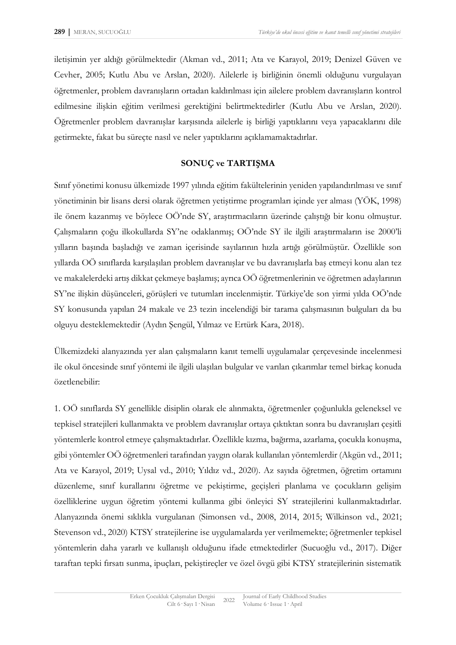iletişimin yer aldığı görülmektedir (Akman vd., 2011; Ata ve Karayol, 2019; Denizel Güven ve Cevher, 2005; Kutlu Abu ve Arslan, 2020). Ailelerle iş birliğinin önemli olduğunu vurgulayan öğretmenler, problem davranışların ortadan kaldırılması için ailelere problem davranışların kontrol edilmesine ilişkin eğitim verilmesi gerektiğini belirtmektedirler (Kutlu Abu ve Arslan, 2020). Öğretmenler problem davranışlar karşısında ailelerle iş birliği yaptıklarını veya yapacaklarını dile getirmekte, fakat bu süreçte nasıl ve neler yaptıklarını açıklamamaktadırlar.

# **SONUÇ ve TARTIŞMA**

Sınıf yönetimi konusu ülkemizde 1997 yılında eğitim fakültelerinin yeniden yapılandırılması ve sınıf yönetiminin bir lisans dersi olarak öğretmen yetiştirme programları içinde yer alması (YÖK, 1998) ile önem kazanmış ve böylece OÖ'nde SY, araştırmacıların üzerinde çalıştığı bir konu olmuştur. Çalışmaların çoğu ilkokullarda SY'ne odaklanmış; OÖ'nde SY ile ilgili araştırmaların ise 2000'li yılların başında başladığı ve zaman içerisinde sayılarının hızla artığı görülmüştür. Özellikle son yıllarda OÖ sınıflarda karşılaşılan problem davranışlar ve bu davranışlarla baş etmeyi konu alan tez ve makalelerdeki artış dikkat çekmeye başlamış; ayrıca OÖ öğretmenlerinin ve öğretmen adaylarının SY'ne ilişkin düşünceleri, görüşleri ve tutumları incelenmiştir. Türkiye'de son yirmi yılda OÖ'nde SY konusunda yapılan 24 makale ve 23 tezin incelendiği bir tarama çalışmasının bulguları da bu olguyu desteklemektedir (Aydın Şengül, Yılmaz ve Ertürk Kara, 2018).

Ülkemizdeki alanyazında yer alan çalışmaların kanıt temelli uygulamalar çerçevesinde incelenmesi ile okul öncesinde sınıf yöntemi ile ilgili ulaşılan bulgular ve varılan çıkarımlar temel birkaç konuda özetlenebilir:

1. OÖ sınıflarda SY genellikle disiplin olarak ele alınmakta, öğretmenler çoğunlukla geleneksel ve tepkisel stratejileri kullanmakta ve problem davranışlar ortaya çıktıktan sonra bu davranışları çeşitli yöntemlerle kontrol etmeye çalışmaktadırlar. Özellikle kızma, bağırma, azarlama, çocukla konuşma, gibi yöntemler OÖ öğretmenleri tarafından yaygın olarak kullanılan yöntemlerdir (Akgün vd., 2011; Ata ve Karayol, 2019; Uysal vd., 2010; Yıldız vd., 2020). Az sayıda öğretmen, öğretim ortamını düzenleme, sınıf kurallarını öğretme ve pekiştirme, geçişleri planlama ve çocukların gelişim özelliklerine uygun öğretim yöntemi kullanma gibi önleyici SY stratejilerini kullanmaktadırlar. Alanyazında önemi sıklıkla vurgulanan (Simonsen vd., 2008, 2014, 2015; Wilkinson vd., 2021; Stevenson vd., 2020) KTSY stratejilerine ise uygulamalarda yer verilmemekte; öğretmenler tepkisel yöntemlerin daha yararlı ve kullanışlı olduğunu ifade etmektedirler (Sucuoğlu vd., 2017). Diğer taraftan tepki fırsatı sunma, ipuçları, pekiştireçler ve özel övgü gibi KTSY stratejilerinin sistematik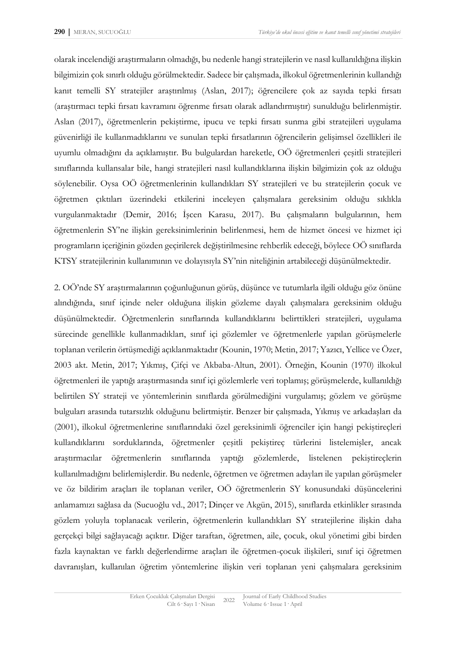olarak incelendiği araştırmaların olmadığı, bu nedenle hangi stratejilerin ve nasıl kullanıldığına ilişkin bilgimizin çok sınırlı olduğu görülmektedir. Sadece bir çalışmada, ilkokul öğretmenlerinin kullandığı kanıt temelli SY stratejiler araştırılmış (Aslan, 2017); öğrencilere çok az sayıda tepki fırsatı (araştırmacı tepki fırsatı kavramını öğrenme fırsatı olarak adlandırmıştır) sunulduğu belirlenmiştir. Aslan (2017), öğretmenlerin pekiştirme, ipucu ve tepki fırsatı sunma gibi stratejileri uygulama güvenirliği ile kullanmadıklarını ve sunulan tepki fırsatlarının öğrencilerin gelişimsel özellikleri ile uyumlu olmadığını da açıklamıştır. Bu bulgulardan hareketle, OÖ öğretmenleri çeşitli stratejileri sınıflarında kullansalar bile, hangi stratejileri nasıl kullandıklarına ilişkin bilgimizin çok az olduğu söylenebilir. Oysa OÖ öğretmenlerinin kullandıkları SY stratejileri ve bu stratejilerin çocuk ve öğretmen çıktıları üzerindeki etkilerini inceleyen çalışmalara gereksinim olduğu sıklıkla vurgulanmaktadır (Demir, 2016; İşcen Karasu, 2017). Bu çalışmaların bulgularının, hem öğretmenlerin SY'ne ilişkin gereksinimlerinin belirlenmesi, hem de hizmet öncesi ve hizmet içi programların içeriğinin gözden geçirilerek değiştirilmesine rehberlik edeceği, böylece OÖ sınıflarda KTSY stratejilerinin kullanımının ve dolayısıyla SY'nin niteliğinin artabileceği düşünülmektedir.

2. OÖ'nde SY araştırmalarının çoğunluğunun görüş, düşünce ve tutumlarla ilgili olduğu göz önüne alındığında, sınıf içinde neler olduğuna ilişkin gözleme dayalı çalışmalara gereksinim olduğu düşünülmektedir. Öğretmenlerin sınıflarında kullandıklarını belirttikleri stratejileri, uygulama sürecinde genellikle kullanmadıkları, sınıf içi gözlemler ve öğretmenlerle yapılan görüşmelerle toplanan verilerin örtüşmediği açıklanmaktadır (Kounin, 1970; Metin, 2017; Yazıcı, Yellice ve Özer, 2003 akt. Metin, 2017; Yıkmış, Çifçi ve Akbaba-Altun, 2001). Örneğin, Kounin (1970) ilkokul öğretmenleri ile yaptığı araştırmasında sınıf içi gözlemlerle veri toplamış; görüşmelerde, kullanıldığı belirtilen SY strateji ve yöntemlerinin sınıflarda görülmediğini vurgulamış; gözlem ve görüşme bulguları arasında tutarsızlık olduğunu belirtmiştir. Benzer bir çalışmada, Yıkmış ve arkadaşları da (2001), ilkokul öğretmenlerine sınıflarındaki özel gereksinimli öğrenciler için hangi pekiştireçleri kullandıklarını sorduklarında, öğretmenler çeşitli pekiştireç türlerini listelemişler, ancak araştırmacılar öğretmenlerin sınıflarında yaptığı gözlemlerde, listelenen pekiştireçlerin kullanılmadığını belirlemişlerdir. Bu nedenle, öğretmen ve öğretmen adayları ile yapılan görüşmeler ve öz bildirim araçları ile toplanan veriler, OÖ öğretmenlerin SY konusundaki düşüncelerini anlamamızı sağlasa da (Sucuoğlu vd., 2017; Dinçer ve Akgün, 2015), sınıflarda etkinlikler sırasında gözlem yoluyla toplanacak verilerin, öğretmenlerin kullandıkları SY stratejilerine ilişkin daha gerçekçi bilgi sağlayacağı açıktır. Diğer taraftan, öğretmen, aile, çocuk, okul yönetimi gibi birden fazla kaynaktan ve farklı değerlendirme araçları ile öğretmen-çocuk ilişkileri, sınıf içi öğretmen davranışları, kullanılan öğretim yöntemlerine ilişkin veri toplanan yeni çalışmalara gereksinim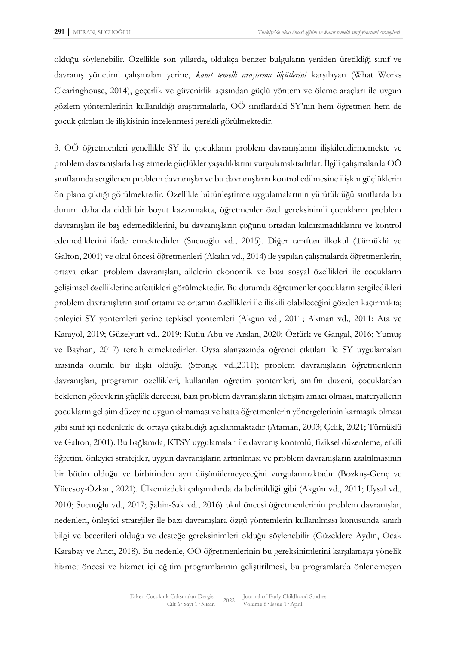olduğu söylenebilir. Özellikle son yıllarda, oldukça benzer bulguların yeniden üretildiği sınıf ve davranış yönetimi çalışmaları yerine, *kanıt temelli araştırma ölçütlerini* karşılayan (What Works Clearinghouse, 2014), geçerlik ve güvenirlik açısından güçlü yöntem ve ölçme araçları ile uygun gözlem yöntemlerinin kullanıldığı araştırmalarla, OÖ sınıflardaki SY'nin hem öğretmen hem de çocuk çıktıları ile ilişkisinin incelenmesi gerekli görülmektedir.

3. OÖ öğretmenleri genellikle SY ile çocukların problem davranışlarını ilişkilendirmemekte ve problem davranışlarla baş etmede güçlükler yaşadıklarını vurgulamaktadırlar. İlgili çalışmalarda OÖ sınıflarında sergilenen problem davranışlar ve bu davranışların kontrol edilmesine ilişkin güçlüklerin ön plana çıktığı görülmektedir. Özellikle bütünleştirme uygulamalarının yürütüldüğü sınıflarda bu durum daha da ciddi bir boyut kazanmakta, öğretmenler özel gereksinimli çocukların problem davranışları ile baş edemediklerini, bu davranışların çoğunu ortadan kaldıramadıklarını ve kontrol edemediklerini ifade etmektedirler (Sucuoğlu vd., 2015). Diğer taraftan ilkokul (Türnüklü ve Galton, 2001) ve okul öncesi öğretmenleri (Akalın vd., 2014) ile yapılan çalışmalarda öğretmenlerin, ortaya çıkan problem davranışları, ailelerin ekonomik ve bazı sosyal özellikleri ile çocukların gelişimsel özelliklerine atfettikleri görülmektedir. Bu durumda öğretmenler çocukların sergiledikleri problem davranışların sınıf ortamı ve ortamın özellikleri ile ilişkili olabileceğini gözden kaçırmakta; önleyici SY yöntemleri yerine tepkisel yöntemleri (Akgün vd., 2011; Akman vd., 2011; Ata ve Karayol, 2019; Güzelyurt vd., 2019; Kutlu Abu ve Arslan, 2020; Öztürk ve Gangal, 2016; Yumuş ve Bayhan, 2017) tercih etmektedirler. Oysa alanyazında öğrenci çıktıları ile SY uygulamaları arasında olumlu bir ilişki olduğu (Stronge vd.,2011); problem davranışların öğretmenlerin davranışları, programın özellikleri, kullanılan öğretim yöntemleri, sınıfın düzeni, çocuklardan beklenen görevlerin güçlük derecesi, bazı problem davranışların iletişim amacı olması, materyallerin çocukların gelişim düzeyine uygun olmaması ve hatta öğretmenlerin yönergelerinin karmaşık olması gibi sınıf içi nedenlerle de ortaya çıkabildiği açıklanmaktadır (Ataman, 2003; Çelik, 2021; Türnüklü ve Galton, 2001). Bu bağlamda, KTSY uygulamaları ile davranış kontrolü, fiziksel düzenleme, etkili öğretim, önleyici stratejiler, uygun davranışların arttırılması ve problem davranışların azaltılmasının bir bütün olduğu ve birbirinden ayrı düşünülemeyeceğini vurgulanmaktadır (Bozkuş-Genç ve Yücesoy-Özkan, 2021). Ülkemizdeki çalışmalarda da belirtildiği gibi (Akgün vd., 2011; Uysal vd., 2010; Sucuoğlu vd., 2017; Şahin-Sak vd., 2016) okul öncesi öğretmenlerinin problem davranışlar, nedenleri, önleyici stratejiler ile bazı davranışlara özgü yöntemlerin kullanılması konusunda sınırlı bilgi ve becerileri olduğu ve desteğe gereksinimleri olduğu söylenebilir (Güzeldere Aydın, Ocak Karabay ve Arıcı, 2018). Bu nedenle, OÖ öğretmenlerinin bu gereksinimlerini karşılamaya yönelik hizmet öncesi ve hizmet içi eğitim programlarının geliştirilmesi, bu programlarda önlenemeyen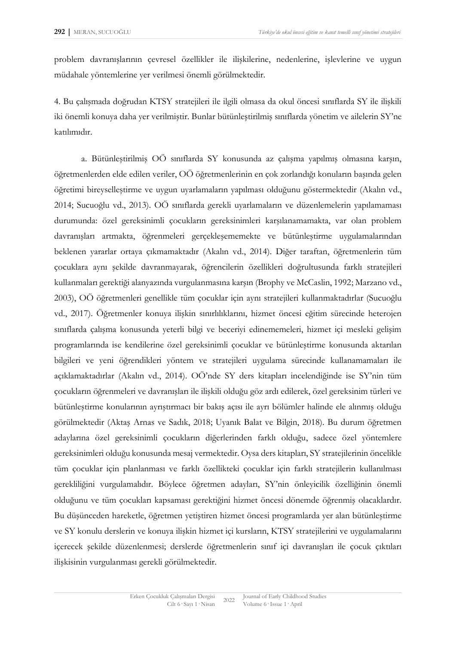problem davranışlarının çevresel özellikler ile ilişkilerine, nedenlerine, işlevlerine ve uygun müdahale yöntemlerine yer verilmesi önemli görülmektedir.

4. Bu çalışmada doğrudan KTSY stratejileri ile ilgili olmasa da okul öncesi sınıflarda SY ile ilişkili iki önemli konuya daha yer verilmiştir. Bunlar bütünleştirilmiş sınıflarda yönetim ve ailelerin SY'ne katılımıdır.

a. Bütünleştirilmiş OÖ sınıflarda SY konusunda az çalışma yapılmış olmasına karşın, öğretmenlerden elde edilen veriler, OÖ öğretmenlerinin en çok zorlandığı konuların başında gelen öğretimi bireyselleştirme ve uygun uyarlamaların yapılması olduğunu göstermektedir (Akalın vd., 2014; Sucuoğlu vd., 2013). OÖ sınıflarda gerekli uyarlamaların ve düzenlemelerin yapılamaması durumunda: özel gereksinimli çocukların gereksinimleri karşılanamamakta, var olan problem davranışları artmakta, öğrenmeleri gerçekleşememekte ve bütünleştirme uygulamalarından beklenen yararlar ortaya çıkmamaktadır (Akalın vd., 2014). Diğer taraftan, öğretmenlerin tüm çocuklara aynı şekilde davranmayarak, öğrencilerin özellikleri doğrultusunda farklı stratejileri kullanmaları gerektiği alanyazında vurgulanmasına karşın (Brophy ve McCaslin, 1992; Marzano vd., 2003), OÖ öğretmenleri genellikle tüm çocuklar için aynı stratejileri kullanmaktadırlar (Sucuoğlu vd., 2017). Öğretmenler konuya ilişkin sınırlılıklarını, hizmet öncesi eğitim sürecinde heterojen sınıflarda çalışma konusunda yeterli bilgi ve beceriyi edinememeleri, hizmet içi mesleki gelişim programlarında ise kendilerine özel gereksinimli çocuklar ve bütünleştirme konusunda aktarılan bilgileri ve yeni öğrendikleri yöntem ve stratejileri uygulama sürecinde kullanamamaları ile açıklamaktadırlar (Akalın vd., 2014). OÖ'nde SY ders kitapları incelendiğinde ise SY'nin tüm çocukların öğrenmeleri ve davranışları ile ilişkili olduğu göz ardı edilerek, özel gereksinim türleri ve bütünleştirme konularının ayrıştırmacı bir bakış açısı ile ayrı bölümler halinde ele alınmış olduğu görülmektedir (Aktaş Arnas ve Sadık, 2018; Uyanık Balat ve Bilgin, 2018). Bu durum öğretmen adaylarına özel gereksinimli çocukların diğerlerinden farklı olduğu, sadece özel yöntemlere gereksinimleri olduğu konusunda mesaj vermektedir. Oysa ders kitapları, SY stratejilerinin öncelikle tüm çocuklar için planlanması ve farklı özellikteki çocuklar için farklı stratejilerin kullanılması gerekliliğini vurgulamalıdır. Böylece öğretmen adayları, SY'nin önleyicilik özelliğinin önemli olduğunu ve tüm çocukları kapsaması gerektiğini hizmet öncesi dönemde öğrenmiş olacaklardır. Bu düşünceden hareketle, öğretmen yetiştiren hizmet öncesi programlarda yer alan bütünleştirme ve SY konulu derslerin ve konuya ilişkin hizmet içi kursların, KTSY stratejilerini ve uygulamalarını içerecek şekilde düzenlenmesi; derslerde öğretmenlerin sınıf içi davranışları ile çocuk çıktıları ilişkisinin vurgulanması gerekli görülmektedir.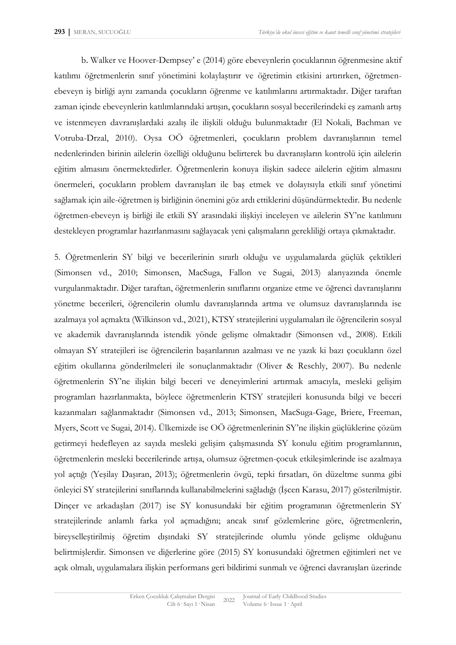b. Walker ve Hoover-Dempsey' e (2014) göre ebeveynlerin çocuklarının öğrenmesine aktif katılımı öğretmenlerin sınıf yönetimini kolaylaştırır ve öğretimin etkisini artırırken, öğretmenebeveyn iş birliği aynı zamanda çocukların öğrenme ve katılımlarını artırmaktadır. Diğer taraftan zaman içinde ebeveynlerin katılımlarındaki artışın, çocukların sosyal becerilerindeki eş zamanlı artış ve istenmeyen davranışlardaki azalış ile ilişkili olduğu bulunmaktadır (El Nokali, Bachman ve Votruba-Drzal, 2010). Oysa OÖ öğretmenleri, çocukların problem davranışlarının temel nedenlerinden birinin ailelerin özelliği olduğunu belirterek bu davranışların kontrolü için ailelerin eğitim almasını önermektedirler. Öğretmenlerin konuya ilişkin sadece ailelerin eğitim almasını önermeleri, çocukların problem davranışları ile baş etmek ve dolayısıyla etkili sınıf yönetimi sağlamak için aile-öğretmen iş birliğinin önemini göz ardı ettiklerini düşündürmektedir. Bu nedenle öğretmen-ebeveyn iş birliği ile etkili SY arasındaki ilişkiyi inceleyen ve ailelerin SY'ne katılımını destekleyen programlar hazırlanmasını sağlayacak yeni çalışmaların gerekliliği ortaya çıkmaktadır.

5. Öğretmenlerin SY bilgi ve becerilerinin sınırlı olduğu ve uygulamalarda güçlük çektikleri (Simonsen vd., 2010; Simonsen, MacSuga, Fallon ve Sugai, 2013) alanyazında önemle vurgulanmaktadır. Diğer taraftan, öğretmenlerin sınıflarını organize etme ve öğrenci davranışlarını yönetme becerileri, öğrencilerin olumlu davranışlarında artma ve olumsuz davranışlarında ise azalmaya yol açmakta (Wilkinson vd., 2021), KTSY stratejilerini uygulamaları ile öğrencilerin sosyal ve akademik davranışlarında istendik yönde gelişme olmaktadır (Simonsen vd., 2008). Etkili olmayan SY stratejileri ise öğrencilerin başarılarının azalması ve ne yazık ki bazı çocukların özel eğitim okullarına gönderilmeleri ile sonuçlanmaktadır (Oliver & Reschly, 2007). Bu nedenle öğretmenlerin SY'ne ilişkin bilgi beceri ve deneyimlerini artırmak amacıyla, mesleki gelişim programları hazırlanmakta, böylece öğretmenlerin KTSY stratejileri konusunda bilgi ve beceri kazanmaları sağlanmaktadır (Simonsen vd., 2013; Simonsen, MacSuga-Gage, Briere, Freeman, Myers, Scott ve Sugai, 2014). Ülkemizde ise OÖ öğretmenlerinin SY'ne ilişkin güçlüklerine çözüm getirmeyi hedefleyen az sayıda mesleki gelişim çalışmasında SY konulu eğitim programlarının, öğretmenlerin mesleki becerilerinde artışa, olumsuz öğretmen-çocuk etkileşimlerinde ise azalmaya yol açtığı (Yeşilay Daşıran, 2013); öğretmenlerin övgü, tepki fırsatları, ön düzeltme sunma gibi önleyici SY stratejilerini sınıflarında kullanabilmelerini sağladığı (İşcen Karasu, 2017) gösterilmiştir. Dinçer ve arkadaşları (2017) ise SY konusundaki bir eğitim programının öğretmenlerin SY stratejilerinde anlamlı farka yol açmadığını; ancak sınıf gözlemlerine göre, öğretmenlerin, bireyselleştirilmiş öğretim dışındaki SY stratejilerinde olumlu yönde gelişme olduğunu belirtmişlerdir. Simonsen ve diğerlerine göre (2015) SY konusundaki öğretmen eğitimleri net ve açık olmalı, uygulamalara ilişkin performans geri bildirimi sunmalı ve öğrenci davranışları üzerinde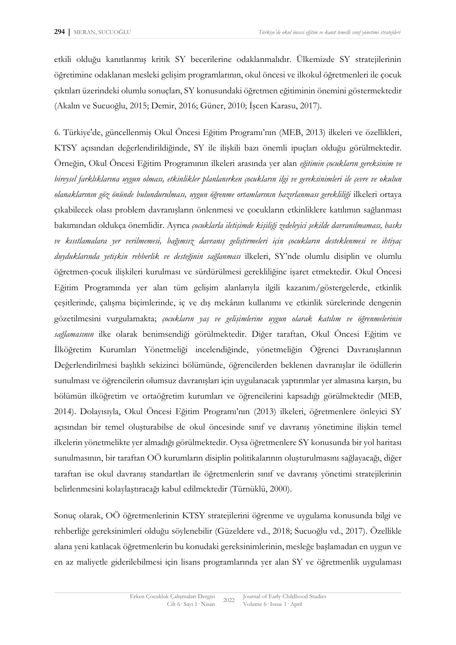etkili olduğu kanıtlanmış kritik SY becerilerine odaklanmalıdır. Ülkemizde SY stratejilerinin öğretimine odaklanan mesleki gelişim programlarının, okul öncesi ve ilkokul öğretmenleri ile çocuk çıktıları üzerindeki olumlu sonuçları, SY konusundaki öğretmen eğitiminin önemini göstermektedir (Akalın ve Sucuoğlu, 2015; Demir, 2016; Güner, 2010; İşcen Karasu, 2017).

6. Türkiye'de, güncellenmiş Okul Öncesi Eğitim Programı'nın (MEB, 2013) ilkeleri ve özellikleri, KTSY açısından değerlendirildiğinde, SY ile ilişkili bazı önemli ipuçları olduğu görülmektedir. Örneğin, Okul Öncesi Eğitim Programının ilkeleri arasında yer alan *eğitimin çocukların gereksinim ve bireysel farklıklarına uygun olması, etkinlikler planlanırken çocukların ilgi ve gereksinimleri ile çevre ve okulun olanaklarının göz önünde bulundurulması, uygun öğrenme ortamlarının hazırlanması gerekliliği* ilkeleri ortaya çıkabilecek olası problem davranışların önlenmesi ve çocukların etkinliklere katılımın sağlanması bakımından oldukça önemlidir. Ayrıca *çocuklarla iletişimde kişiliği zedeleyici şekilde davranılmaması, baskı ve kısıtlamalara yer verilmemesi, bağımsız davranış geliştirmeleri için çocukların desteklenmesi ve ihtiyaç duyduklarında yetişkin rehberlik ve desteğinin sağlanması* ilkeleri, SY'nde olumlu disiplin ve olumlu öğretmen-çocuk ilişkileri kurulması ve sürdürülmesi gerekliliğine işaret etmektedir. Okul Öncesi Eğitim Programında yer alan tüm gelişim alanlarıyla ilgili kazanım/göstergelerde, etkinlik çeşitlerinde, çalışma biçimlerinde, iç ve dış mekânın kullanımı ve etkinlik sürelerinde dengenin gözetilmesini vurgulamakta; *çocukların yaş ve gelişimlerine uygun olarak katılım ve öğrenmelerinin sağlamasının* ilke olarak benimsendiği görülmektedir. Diğer taraftan, Okul Öncesi Eğitim ve İlköğretim Kurumları Yönetmeliği incelendiğinde, yönetmeliğin Öğrenci Davranışlarının Değerlendirilmesi başlıklı sekizinci bölümünde, öğrencilerden beklenen davranışlar ile ödüllerin sunulması ve öğrencilerin olumsuz davranışları için uygulanacak yaptırımlar yer almasına karşın, bu bölümün ilköğretim ve ortaöğretim kurumları ve öğrencilerini kapsadığı görülmektedir (MEB, 2014). Dolayısıyla, Okul Öncesi Eğitim Programı'nın (2013) ilkeleri, öğretmenlere önleyici SY açısından bir temel oluşturabilse de okul öncesinde sınıf ve davranış yönetimine ilişkin temel ilkelerin yönetmelikte yer almadığı görülmektedir. Oysa öğretmenlere SY konusunda bir yol haritası sunulmasının, bir taraftan OÖ kurumların disiplin politikalarının oluşturulmasını sağlayacağı, diğer taraftan ise okul davranış standartları ile öğretmenlerin sınıf ve davranış yönetimi stratejilerinin belirlenmesini kolaylaştıracağı kabul edilmektedir (Türnüklü, 2000).

Sonuç olarak, OÖ öğretmenlerinin KTSY stratejilerini öğrenme ve uygulama konusunda bilgi ve rehberliğe gereksinimleri olduğu söylenebilir (Güzeldere vd., 2018; Sucuoğlu vd., 2017). Özellikle alana yeni katılacak öğretmenlerin bu konudaki gereksinimlerinin, mesleğe başlamadan en uygun ve en az maliyetle giderilebilmesi için lisans programlarında yer alan SY ve öğretmenlik uygulaması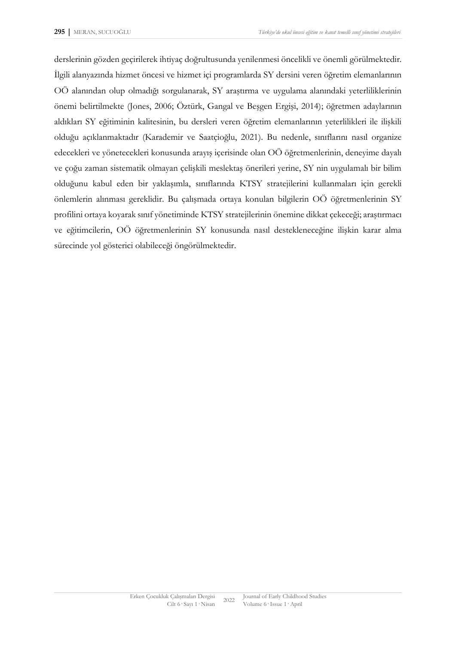derslerinin gözden geçirilerek ihtiyaç doğrultusunda yenilenmesi öncelikli ve önemli görülmektedir. İlgili alanyazında hizmet öncesi ve hizmet içi programlarda SY dersini veren öğretim elemanlarının OÖ alanından olup olmadığı sorgulanarak, SY araştırma ve uygulama alanındaki yeterliliklerinin önemi belirtilmekte (Jones, 2006; Öztürk, Gangal ve Beşgen Ergişi, 2014); öğretmen adaylarının aldıkları SY eğitiminin kalitesinin, bu dersleri veren öğretim elemanlarının yeterlilikleri ile ilişkili olduğu açıklanmaktadır (Karademir ve Saatçioğlu, 2021). Bu nedenle, sınıflarını nasıl organize edecekleri ve yönetecekleri konusunda arayış içerisinde olan OÖ öğretmenlerinin, deneyime dayalı ve çoğu zaman sistematik olmayan çelişkili meslektaş önerileri yerine, SY nin uygulamalı bir bilim olduğunu kabul eden bir yaklaşımla, sınıflarında KTSY stratejilerini kullanmaları için gerekli önlemlerin alınması gereklidir. Bu çalışmada ortaya konulan bilgilerin OÖ öğretmenlerinin SY profilini ortaya koyarak sınıf yönetiminde KTSY stratejilerinin önemine dikkat çekeceği; araştırmacı ve eğitimcilerin, OÖ öğretmenlerinin SY konusunda nasıl destekleneceğine ilişkin karar alma sürecinde yol gösterici olabileceği öngörülmektedir.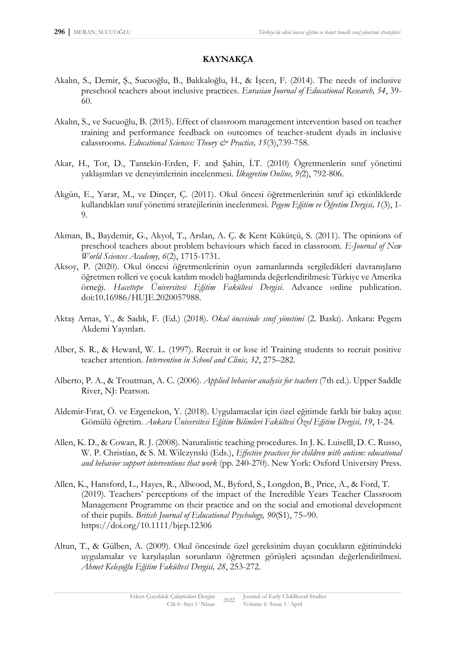## **KAYNAKÇA**

- Akalın, S., Demir, Ş., Sucuoğlu, B., Bakkaloğlu, H., & İşcen, F. (2014). The needs of inclusive preschool teachers about inclusive practices. *Eurasian Journal of Educational Research, 54*, 39- 60.
- Akalın, S., ve Sucuoğlu, B. (2015). Effect of classroom management intervention based on teacher training and performance feedback on outcomes of teacher-student dyads in inclusive calassrooms. *Educational Sciences: Theory & Practice, 15*(3),739-758.
- Akar, H., Tor, D., Tantekin-Erden, F. and Şahin, İ.T. (2010) Ögretmenlerin sınıf yönetimi yaklaşımları ve deneyimlerinin incelenmesi. *İlkogretim Online, 9(*2), 792-806.
- Akgün, E., Yarar, M., ve Dinçer, Ç. (2011). Okul öncesi öğretmenlerinin sınıf içi etkinliklerde kullandıkları sınıf yönetimi stratejilerinin incelenmesi. *Pegem Eğitim ve Öğretim Dergisi, 1*(3), 1- 9.
- Akman, B., Baydemir, G., Akyol, T., Arslan, A. Ç. & Kent Kükütçü, S. (2011). The opinions of preschool teachers about problem behaviours which faced in classroom. *E-Journal of New World Sciences Academy, 6*(2), 1715-1731.
- Aksoy, P. (2020). Okul öncesi öğretmenlerinin oyun zamanlarında sergiledikleri davranışların öğretmen rolleri ve çocuk katılım modeli bağlamında değerlendirilmesi: Türkiye ve Amerika örneği. *Hacettepe Üniversitesi Eğitim Fakültesi Dergisi*. Advance online publication. doi:10.16986/HUJE.2020057988.
- Aktaş Arnas, Y., & Sadık, F. (Ed.) (2018). *Okul öncesinde sınıf yönetimi* (2. Baskı). Ankara: Pegem Akdemi Yayınları.
- Alber, S. R., & Heward, W. L. (1997). Recruit it or lose it! Training students to recruit positive teacher attention. *Intervention in School and Clinic, 32*, 275–282.
- Alberto, P. A., & Troutman, A. C. (2006). *Applied behavior analysis for teachers* (7th ed.). Upper Saddle River, NJ: Pearson.
- Aldemir-Fırat, Ö. ve Ergenekon, Y. (2018). Uygulamacılar için özel eğitimde farklı bir bakış açısı: Gömülü öğretim. *Ankara Üniversitesi Eğitim Bilimleri Fakültesi Özel Eğitim Dergisi, 19*, 1-24.
- Allen, K. D., & Cowan, R. J. (2008). Naturalistic teaching procedures. In J. K. Luiselll, D. C. Russo, W. P. Christian, & S. M. Wilczynski (Eds.), *Effective practices for children with autism: educational and behavior support interventions that work* (pp. 240-270). New York: Oxford University Press.
- Allen, K., Hansford, L., Hayes, R., Allwood, M., Byford, S., Longdon, B., Price, A., & Ford, T. (2019). Teachers' perceptions of the impact of the Incredible Years Teacher Classroom Management Programme on their practice and on the social and emotional development of their pupils. *British Journal of Educational Psychology, 90*(S1), 75–90. <https://doi.org/10.1111/bjep.12306>
- Altun, T., & Gülben, A. (2009). Okul öncesinde özel gereksinim duyan çocukların eğitimindeki uygulamalar ve karşılaşılan sorunların öğretmen görüşleri açısından değerlendirilmesi. *Ahmet Keleşoğlu Eğitim Fakültesi Dergisi, 28*, 253-272.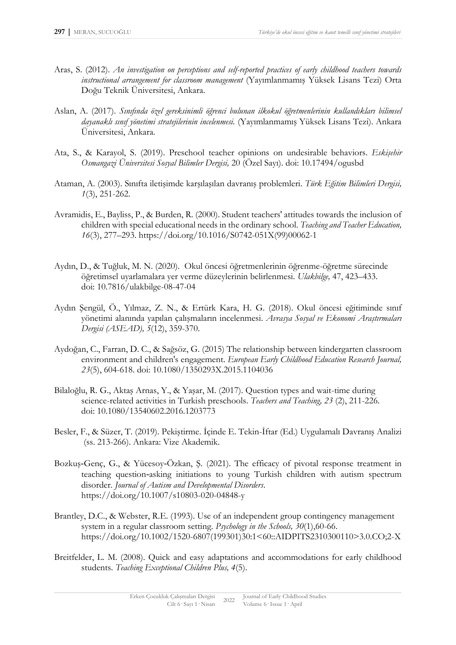- Aras, S. (2012). *An investigation on perceptions and self-reported practices of early childhood teachers towards instructional arrangement for classroom management* (Yayımlanmamış Yüksek Lisans Tezi) Orta Doğu Teknik Üniversitesi, Ankara.
- Aslan, A. (2017). *Sınıfında özel gereksinimli öğrenci bulunan ilkokul öğretmenlerinin kullandıkları bilimsel dayanaklı sınıf yönetimi stratejilerinin incelenmesi.* (Yayımlanmamış Yüksek Lisans Tezi). Ankara Üniversitesi, Ankara.
- Ata, S., & Karayol, S. (2019). Preschool teacher opinions on undesirable behaviors. *Eskişehir Osmangazi Üniversitesi Sosyal Bilimler Dergisi,* 20 (Özel Sayı). doi: 10.17494/ogusbd
- Ataman, A. (2003). Sınıfta iletişimde karşılaşılan davranış problemleri. *Türk Eğitim Bilimleri Dergisi, 1*(3), 251-262.
- Avramidis, E., Bayliss, P., & Burden, R. (2000). Student teachers' attitudes towards the inclusion of children with special educational needs in the ordinary school. *Teaching and Teacher Education, 16*(3), 277–293. [https://doi.org/10.1016/S0742-051X\(99\)00062-1](https://doi.org/10.1016/S0742-051X(99)00062-1)
- Aydın, D., & Tuğluk, M. N. (2020). Okul öncesi öğretmenlerinin öğrenme-öğretme sürecinde öğretimsel uyarlamalara yer verme düzeylerinin belirlenmesi. *Ulakbilge,* 47, 423–433. doi: 10.7816/ulakbilge-08-47-04
- Aydın Şengül, Ö., Yılmaz, Z. N., & Ertürk Kara, H. G. (2018). Okul öncesi eğitiminde sınıf yönetimi alanında yapılan çalışmaların incelenmesi. *Avrasya Sosyal ve Ekonomi Araştırmaları Dergisi (ASEAD), 5*(12), 359-370.
- Aydoğan, C., Farran, D. C., & Sağsöz, G. (2015) The relationship between kindergarten classroom environment and children's engagement. *European Early Childhood Education Research Journal, 23*(5), 604-618. doi: 10.1080/1350293X.2015.1104036
- Bilaloğlu, R. G., Aktaş Arnas, Y., & Yaşar, M. (2017). Question types and wait-time during science-related activities in Turkish preschools. *Teachers and Teaching, 23* (2), 211-226. doi: 10.1080/13540602.2016.1203773
- Besler, F., & Süzer, T. (2019). Pekiştirme. İçinde E. Tekin-İftar (Ed.) Uygulamalı Davranış Analizi (ss. 213-266). Ankara: Vize Akademik.
- Bozkuş‑Genç, G., & Yücesoy‑Özkan, Ş. (2021). The efficacy of pivotal response treatment in teaching question‑asking initiations to young Turkish children with autism spectrum disorder. *Journal of Autism and Developmental Disorders*. <https://doi.org/10.1007/s10803-020-04848-y>
- Brantley, D.C., & Webster, R.E. (1993). Use of an independent group contingency management system in a regular classroom setting. *Psychology in the Schools, 30*(1),60-66. [https://doi.org/10.1002/1520-6807\(199301\)30:1<60::AIDPITS2310300110>3.0.CO;2-X](https://doi.org/10.1002/1520-6807(199301)30:1%3c60::AIDPITS2310300110%3e3.0.CO;2-X)
- Breitfelder, L. M. (2008). Quick and easy adaptations and accommodations for early childhood students. *Teaching Exceptional Children Plus, 4*(5).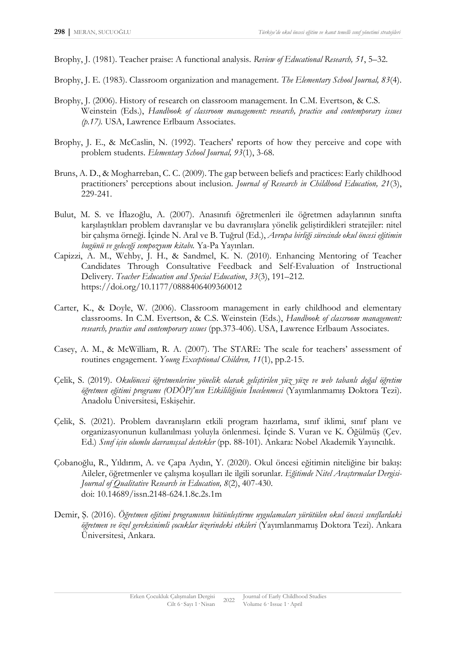Brophy, J. (1981). Teacher praise: A functional analysis. *Review of Educational Research, 51*, 5–32.

- Brophy, J. E. (1983). Classroom organization and management. *The Elementary School Journal, 83*(4).
- Brophy, J. (2006). History of research on classroom management. In C.M. Evertson, & C.S. Weinstein (Eds.), *Handbook of classroom management: research, practice and contemporary issues (p.17).* USA, Lawrence Erlbaum Associates.
- Brophy, J. E., & McCaslin, N. (1992). Teachers' reports of how they perceive and cope with problem students. *Elementary School Journal, 93*(1), 3-68.
- Bruns, A. D., & Mogharreban, C. C. (2009). The gap between beliefs and practices: Early childhood practitioners' perceptions about inclusion. *Journal of Research in Childhood Education, 21*(3), 229-241.
- Bulut, M. S. ve İflazoğlu, A. (2007). Anasınıfı öğretmenleri ile öğretmen adaylarının sınıfta karşılaştıkları problem davranışlar ve bu davranışlara yönelik geliştirdikleri stratejiler: nitel bir çalışma örneği. İçinde N. Aral ve B. Tuğrul (Ed.), *Avrupa birliği sürecinde okul öncesi eğitimin bugünü ve geleceği sempozyum kitabı.* Ya-Pa Yayınları.
- Capizzi, A. M., Wehby, J. H., & Sandmel, K. N. (2010). Enhancing Mentoring of Teacher Candidates Through Consultative Feedback and Self-Evaluation of Instructional Delivery. *Teacher Education and Special Education*, *33*(3), 191–212. <https://doi.org/10.1177/0888406409360012>
- Carter, K., & Doyle, W. (2006). Classroom management in early childhood and elementary classrooms. In C.M. Evertson, & C.S. Weinstein (Eds.), *Handbook of classroom management: research, practice and contemporary ıssues* (pp.373-406). USA, Lawrence Erlbaum Associates.
- Casey, A. M., & McWilliam, R. A. (2007). The STARE: The scale for teachers' assessment of routines engagement. *Young Exceptional Children, 11*(1), pp.2-15.
- Çelik, S. (2019). *Okulöncesi öğretmenlerine yönelik olarak geliştirilen yüz yüze ve web tabanlı doğal öğretim öğretmen eğitimi programı (ODÖP)'nın Etkililiğinin İncelenmesi* (Yayımlanmamış Doktora Tezi). Anadolu Üniversitesi, Eskişehir.
- Çelik, S. (2021). Problem davranışların etkili program hazırlama, sınıf iklimi, sınıf planı ve organizasyonunun kullanılması yoluyla önlenmesi. İçinde S. Vuran ve K. Öğülmüş (Çev. Ed.) *Sınıf için olumlu davranışsal destekler* (pp. 88-101). Ankara: Nobel Akademik Yayıncılık.
- Çobanoğlu, R., Yıldırım, A. ve Çapa Aydın, Y. (2020). Okul öncesi eğitimin niteliğine bir bakış: Aileler, öğretmenler ve çalışma koşulları ile ilgili sorunlar. *Eğitimde Nitel Araştırmalar Dergisi-Journal of Qualitative Research in Education, 8*(2), 407-430. doi: 10.14689/issn.2148-624.1.8c.2s.1m
- Demir, Ş. (2016). *Öğretmen eğitimi programının bütünleştirme uygulamaları yürütülen okul öncesi sınıflardaki öğretmen ve özel gereksinimli çocuklar üzerindeki etkileri* (Yayımlanmamış Doktora Tezi). Ankara Üniversitesi, Ankara.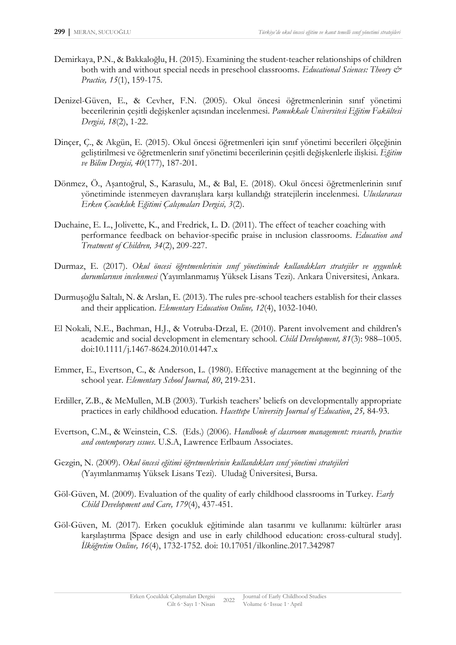- Demirkaya, P.N., & Bakkaloğlu, H. (2015). Examining the student-teacher relationships of children both with and without special needs in preschool classrooms. *Educational Sciences: Theory*  $\mathcal{O}^*$ *Practice, 15*(1), 159-175.
- Denizel-Güven, E., & Cevher, F.N. (2005). Okul öncesi öğretmenlerinin sınıf yönetimi becerilerinin çeşitli değişkenler açısından incelenmesi. *Pamukkale Üniversitesi Eğitim Fakültesi Dergisi, 18*(2), 1-22.
- Dinçer, Ç., & Akgün, E. (2015). Okul öncesi öğretmenleri için sınıf yönetimi becerileri ölçeğinin geliştirilmesi ve öğretmenlerin sınıf yönetimi becerilerinin çeşitli değişkenlerle ilişkisi. *Eğitim ve Bilim Dergisi, 40*(177), 187-201.
- Dönmez, Ö., Aşantoğrul, S., Karasulu, M., & Bal, E. (2018). Okul öncesi öğretmenlerinin sınıf yönetiminde istenmeyen davranışlara karşı kullandığı stratejilerin incelenmesi. *Uluslararası Erken Çocukluk Eğitimi Çalışmaları Dergisi, 3*(2).
- Duchaine, E. L., Jolivette, K., and Fredrick, L. D. (2011). The effect of teacher coaching with performance feedback on behavior-specific praise in ınclusion classrooms. *Education and Treatment of Children, 34*(2), 209-227.
- Durmaz, E. (2017). *Okul öncesi öğretmenlerinin sınıf yönetiminde kullandıkları stratejiler ve uygunluk durumlarının incelenmesi* (Yayımlanmamış Yüksek Lisans Tezi). Ankara Üniversitesi, Ankara.
- Durmuşoğlu Saltalı, N. & Arslan, E. (2013). The rules pre-school teachers establish for their classes and their application. *Elementary Education Online, 12*(4), 1032-1040.
- El Nokali, N.E., Bachman, H.J., & Votruba-Drzal, E. (2010). Parent involvement and children's academic and social development in elementary school. *Child Development, 81*(3): 988–1005. doi:10.1111/j.1467-8624.2010.01447.x
- Emmer, E., Evertson, C., & Anderson, L. (1980). Effective management at the beginning of the school year. *Elementary School Journal, 80*, 219-231.
- Erdiller, Z.B., & McMullen, M.B (2003). Turkish teachers' beliefs on developmentally appropriate practices in early childhood education. *Hacettepe University Journal of Education*, *25,* 84-93.
- Evertson, C.M., & Weinstein, C.S. (Eds.) (2006). *Handbook of classroom management: research, practice and contemporary ıssues*. U.S.A, Lawrence Erlbaum Associates.
- Gezgin, N. (2009). *Okul öncesi eğitimi öğretmenlerinin kullandıkları sınıf yönetimi stratejileri* (Yayımlanmamış Yüksek Lisans Tezi). Uludağ Üniversitesi, Bursa.
- Göl-Güven, M. (2009). Evaluation of the quality of early childhood classrooms in Turkey. *Early Child Development and Care, 179*(4), 437-451.
- Göl-Güven, M. (2017). Erken çocukluk eğitiminde alan tasarımı ve kullanımı: kültürler arası karşılaştırma [Space design and use in early childhood education: cross-cultural study]. *İlköğretim Online, 16*(4), 1732-1752. doi: 10.17051/ilkonline.2017.342987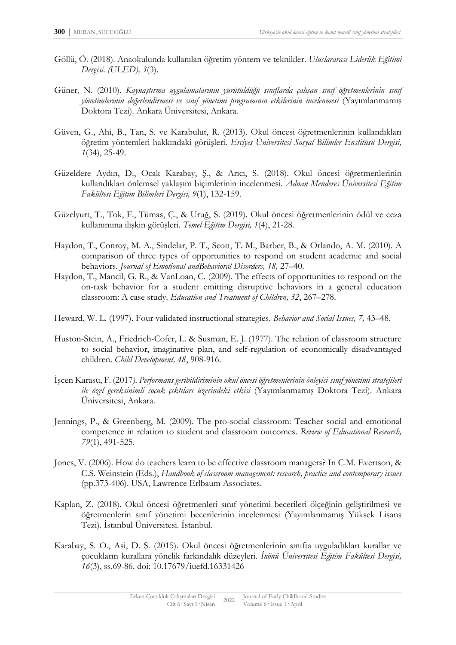- Göllü, Ö. (2018). Anaokulunda kullanılan öğretim yöntem ve teknikler. *Uluslararası Liderlik Eğitimi Dergisi. (ULED), 3*(3).
- Güner, N. (2010). *Kaynaştırma uygulamalarının yürütüldüğü sınıflarda çalışan sınıf öğretmenlerinin sınıf yönetimlerinin değerlendirmesi ve sınıf yönetimi programının etkilerinin incelenmesi* (Yayımlanmamış Doktora Tezi). Ankara Üniversitesi, Ankara.
- Güven, G., Ahi, B., Tan, S. ve Karabulut, R. (2013). Okul öncesi öğretmenlerinin kullandıkları öğretim yöntemleri hakkındaki görüşleri. *Erciyes Üniversitesi Sosyal Bilimler Enstitüsü Dergisi, 1*(34), 25-49.
- Güzeldere Aydın, D., Ocak Karabay, Ş., & Arıcı, S. (2018). Okul öncesi öğretmenlerinin kullandıkları önlemsel yaklaşım biçimlerinin incelenmesi. *Adnan Menderes Üniversitesi Eğitim Fakültesi Eğitim Bilimleri Dergisi, 9*(1), 132-159.
- Güzelyurt, T., Tok, F., Tümas, Ç., & Uruğ, Ş. (2019). Okul öncesi öğretmenlerinin ödül ve ceza kullanımına ilişkin görüşleri. *Temel Eğitim Dergisi, 1*(4), 21-28.
- Haydon, T., Conroy, M. A., Sindelar, P. T., Scott, T. M., Barber, B., & Orlando, A. M. (2010). A comparison of three types of opportunities to respond on student academic and social behaviors. *Journal of Emotional andBehavioral Disorders, 18,* 27–40.
- Haydon, T., Mancil, G. R., & VanLoan, C. (2009). The effects of opportunities to respond on the on-task behavior for a student emitting disruptive behaviors in a general education classroom: A case study. *Education and Treatment of Children, 32*, 267–278.
- Heward, W. L. (1997). Four validated instructional strategies. *Behavior and Social Issues, 7,* 43–48.
- Huston-Stein, A., Friedrich-Cofer, L. & Susman, E. J. (1977). The relation of classroom structure to social behavior, imaginative plan, and self-regulation of economically disadvantaged children. *Child Development, 48*, 908-916.
- İşcen Karasu, F. (2017*). Performans geribildiriminin okul öncesi öğretmenlerinin önleyici sınıf yönetimi stratejileri ile özel gereksinimli çocuk çıktıları üzerindeki etkisi* (Yayımlanmamış Doktora Tezi). Ankara Üniversitesi, Ankara.
- Jennings, P., & Greenberg, M. (2009). The pro-social classroom: Teacher social and emotional competence in relation to student and classroom outcomes. *Review of Educational Research, 79*(1), 491-525.
- Jones, V. (2006). How do teachers learn to be effective classroom managers? In C.M. Evertson, & C.S. Weinstein (Eds.), *Handbook of classroom management: research, practice and contemporary issues* (pp.373-406). USA, Lawrence Erlbaum Associates.
- Kaplan, Z. (2018). Okul öncesi öğretmenleri sınıf yönetimi becerileri ölçeğinin geliştirilmesi ve öğretmenlerin sınıf yönetimi becerilerinin incelenmesi (Yayımlanmamış Yüksek Lisans Tezi). İstanbul Üniversitesi. İstanbul.
- Karabay, S. O., Asi, D. Ş. (2015). Okul öncesi öğretmenlerinin sınıfta uyguladıkları kurallar ve çocukların kurallara yönelik farkındalık düzeyleri. *İnönü Üniversitesi Eğitim Fakültesi Dergisi, 16*(3), ss.69-86. doi: 10.17679/iuefd.16331426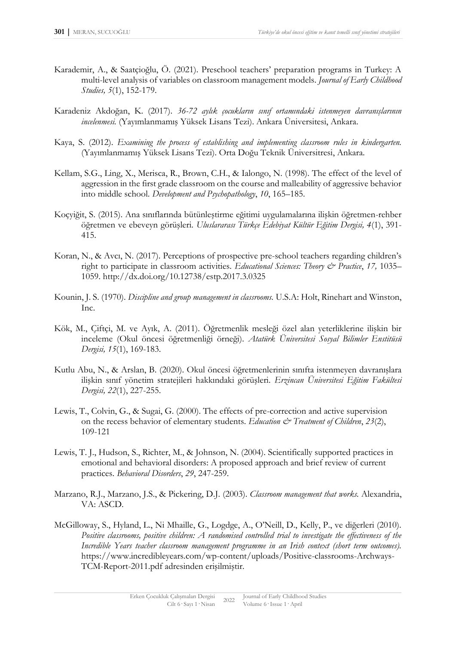- Karademir, A., & Saatçioğlu, Ö. (2021). Preschool teachers' preparation programs in Turkey: A multi-level analysis of variables on classroom management models. *Journal of Early Childhood Studies, 5*(1), 152-179.
- Karadeniz Akdoğan, K. (2017). *36-72 aylık çocukların sınıf ortamındaki istenmeyen davranışlarının incelenmesi.* (Yayımlanmamış Yüksek Lisans Tezi). Ankara Üniversitesi, Ankara.
- Kaya, S. (2012). *Examining the process of establishing and implementing classroom rules in kindergarten.* (Yayımlanmamış Yüksek Lisans Tezi). Orta Doğu Teknik Üniversitresi, Ankara.
- Kellam, S.G., Ling, X., Merisca, R., Brown, C.H., & Ialongo, N. (1998). The effect of the level of aggression in the first grade classroom on the course and malleability of aggressive behavior into middle school. *Development and Psychopathology*, *10*, 165–185.
- Koçyiğit, S. (2015). Ana sınıflarında bütünleştirme eğitimi uygulamalarına ilişkin öğretmen-rehber öğretmen ve ebeveyn görüşleri. *Uluslararası Türkçe Edebiyat Kültür Eğitim Dergisi, 4*(1), 391- 415.
- Koran, N., & Avcı, N. (2017). Perceptions of prospective pre-school teachers regarding children's right to participate in classroom activities. *Educational Sciences: Theory & Practice*, 17, 1035– 1059.<http://dx.doi.org/10.12738/estp.2017.3.0325>
- Kounin, J. S. (1970). *Discipline and group management in classrooms.* U.S.A: Holt, Rinehart and Winston, Inc.
- Kök, M., Çiftçi, M. ve Ayık, A. (2011). Öğretmenlik mesleği özel alan yeterliklerine ilişkin bir inceleme (Okul öncesi öğretmenliği örneği). *Atatürk Üniversitesi Sosyal Bilimler Enstitüsü Dergisi, 15*(1), 169-183.
- Kutlu Abu, N., & Arslan, B. (2020). Okul öncesi öğretmenlerinin sınıfta istenmeyen davranışlara ilişkin sınıf yönetim stratejileri hakkındaki görüşleri. *Erzincan Üniversitesi Eğitim Fakültesi Dergisi, 22*(1), 227-255.
- Lewis, T., Colvin, G., & Sugai, G. (2000). The effects of pre-correction and active supervision on the recess behavior of elementary students. *Education & Treatment of Children*, *23*(2), 109-121
- Lewis, T. J., Hudson, S., Richter, M., & Johnson, N. (2004). Scientifically supported practices in emotional and behavioral disorders: A proposed approach and brief review of current practices. *Behavioral Disorders*, *29*, 247-259.
- Marzano, R.J., Marzano, J.S., & Pickering, D.J. (2003). *Classroom management that works.* Alexandria, VA: ASCD.
- McGilloway, S., Hyland, L., Ni Mhaille, G., Logdge, A., O'Neill, D., Kelly, P., ve diğerleri (2010). *Positive classrooms, positive children: A randomised controlled trial to investigate the effectiveness of the Incredible Years teacher classroom management programme in an Irish context (short term outcomes).* https://www.incredibleyears.com/wp-content/uploads/Positive-classrooms-Archways-TCM-Report-2011.pdf adresinden erişilmiştir.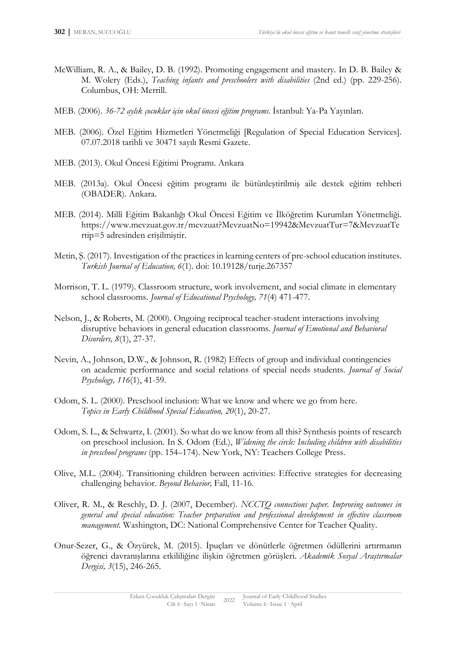- McWilliam, R. A., & Bailey, D. B. (1992). Promoting engagement and mastery. In D. B. Bailey & M. Wolery (Eds.), *Teaching infants and preschoolers with disabilities* (2nd ed.) (pp. 229-256). Columbus, OH: Merrill.
- MEB. (2006). *36-72 aylık çocuklar için okul öncesi eğitim programı*. İstanbul: Ya-Pa Yayınları.
- MEB. (2006). Özel Eğitim Hizmetleri Yönetmeliği [Regulation of Special Education Services]. 07.07.2018 tarihli ve 30471 sayılı Resmi Gazete.
- MEB. (2013). Okul Öncesi Eğitimi Programı. Ankara
- MEB. (2013a). Okul Öncesi eğitim programı ile bütünleştirilmiş aile destek eğitim rehberi (OBADER). Ankara.
- MEB. (2014). Millî Eğitim Bakanlığı Okul Öncesi Eğitim ve İlköğretim Kurumları Yönetmeliği. https://www.mevzuat.gov.tr/mevzuat?MevzuatNo=19942&MevzuatTur=7&MevzuatTe rtip=5 adresinden erişilmiştir.
- Metin, Ş. (2017). Investigation of the practices in learning centers of pre-school education institutes. *Turkish Journal of Education, 6*(1). doi: 10.19128/turje.267357
- Morrison, T. L. (1979). Classroom structure, work involvement, and social climate in elementary school classrooms. *Journal of Educational Psychology, 71*(4) 471-477.
- Nelson, J., & Roberts, M. (2000). Ongoing reciprocal teacher-student interactions involving disruptive behaviors in general education classrooms. *Journal of Emotional and Behavioral Disorders, 8*(1), 27-37.
- Nevin, A., Johnson, D.W., & Johnson, R. (1982) Effects of group and individual contingencies on academic performance and social relations of special needs students. *Journal of Social Psychology, 116*(1), 41-59.
- Odom, S. L. (2000). Preschool inclusion: What we know and where we go from here. *Topics in Early Childhood Special Education, 20*(1), 20-27.
- Odom, S. L., & Schwartz, I. (2001). So what do we know from all this? Synthesis points of research on preschool inclusion. In S. Odom (Ed.), *Widening the circle: Including children with disabilities in preschool programs* (pp. 154–174). New York, NY: Teachers College Press.
- Olive, M.L. (2004). Transitioning children between activities: Effective strategies for decreasing challenging behavior. *Beyond Behavior,* Fall, 11-16.
- Oliver, R. M., & Reschly, D. J. (2007, December). *NCCTQ connections paper. Improving outcomes in general and special education: Teacher preparation and professional development in effective classroom management.* Washington, DC: National Comprehensive Center for Teacher Quality.
- Onur-Sezer, G., & Özyürek, M. (2015). İpuçları ve dönütlerle öğretmen ödüllerini artırmanın öğrenci davranışlarına etkililiğine ilişkin öğretmen görüşleri. *Akademik Sosyal Araştırmalar Dergisi, 3*(15), 246-265.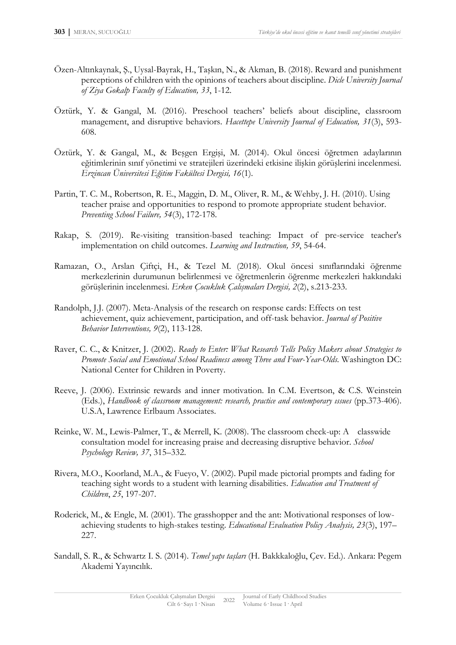- Özen-Altınkaynak, Ş., Uysal-Bayrak, H., Taşkın, N., & Akman, B. (2018). Reward and punishment perceptions of children with the opinions of teachers about discipline. *Dicle University Journal of Ziya Gokalp Faculty of Education, 33*, 1-12.
- Öztürk, Y. & Gangal, M. (2016). Preschool teachers' beliefs about discipline, classroom management, and disruptive behaviors*. Hacettepe University Journal of Education, 31*(3), 593- 608.
- Öztürk, Y. & Gangal, M., & Beşgen Ergişi, M. (2014). Okul öncesi öğretmen adaylarının eğitimlerinin sınıf yönetimi ve stratejileri üzerindeki etkisine ilişkin görüşlerini incelenmesi. *Erzincan Üniversitesi Eğitim Fakültesi Dergisi, 16*(1).
- Partin, T. C. M., Robertson, R. E., Maggin, D. M., Oliver, R. M., & Wehby, J. H. (2010). Using teacher praise and opportunities to respond to promote appropriate student behavior. *Preventing School Failure, 54*(3), 172-178.
- Rakap, S. (2019). Re-visiting transition-based teaching: Impact of pre-service teacher's implementation on child outcomes. *Learning and Instruction, 59*, 54-64.
- Ramazan, O., Arslan Çiftçi, H., & Tezel M. (2018). Okul öncesi sınıflarındaki öğrenme merkezlerinin durumunun belirlenmesi ve öğretmenlerin öğrenme merkezleri hakkındaki görüşlerinin incelenmesi. *Erken Çocukluk Çalışmaları Dergisi, 2*(2), s.213-233.
- Randolph, J.J. (2007). Meta-Analysis of the research on response cards: Effects on test achievement, quiz achievement, participation, and off-task behavior. *Journal of Positive Behavior Interventions, 9*(2), 113-128.
- Raver, C. C., & Knitzer, J. (2002). *Ready to Enter: What Research Tells Policy Makers about Strategies to Promote Social and Emotional School Readiness among Three and Four-Year-Olds.* Washington DC: National Center for Children in Poverty.
- Reeve, J. (2006). Extrinsic rewards and inner motivation. In C.M. Evertson, & C.S. Weinstein (Eds.), *Handbook of classroom management: research, practice and contemporary ıssues* (pp.373-406). U.S.A, Lawrence Erlbaum Associates.
- Reinke, W. M., Lewis-Palmer, T., & Merrell, K. (2008). The classroom check-up: A classwide consultation model for increasing praise and decreasing disruptive behavior. *School Psychology Review, 37*, 315–332.
- Rivera, M.O., Koorland, M.A., & Fueyo, V. (2002). Pupil made pictorial prompts and fading for teaching sight words to a student with learning disabilities. *Education and Treatment of Children*, *25*, 197-207.
- Roderick, M., & Engle, M. (2001). The grasshopper and the ant: Motivational responses of lowachieving students to high-stakes testing. *Educational Evaluation Policy Analysis, 23*(3), 197– 227.
- Sandall, S. R., & Schwartz I. S. (2014). *Temel yapı taşları* (H. Bakkkaloğlu, Çev. Ed.). Ankara: Pegem Akademi Yayıncılık.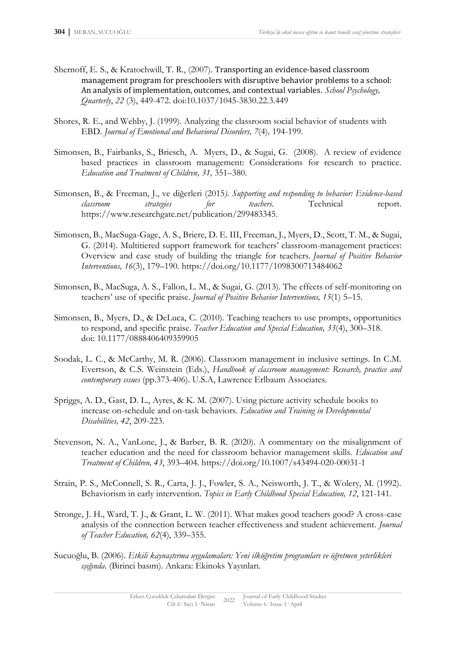- Shernoff, E. S., & Kratochwill, T. R., (2007). Transporting an evidence-based classroom management program for preschoolers with disruptive behavior problems to a school: An analysis of implementation, outcomes, and contextual variables. *School Psychology, Quarterly*, *22* (3), 449-472. doi[:10.1037/1045-3830.22.3.449](http://dx.doi.org/10.1037/1045-3830.22.3.449)
- Shores, R. E., and Wehby, J. (1999). Analyzing the classroom social behavior of students with EBD. *Journal of Emotional and Behavioral Disorders, 7*(4)*,* 194-199.
- Simonsen, B., Fairbanks, S., Briesch, A. Myers, D., & Sugai, G. (2008). A review of evidence based practices in classroom management: Considerations for research to practice. *Education and Treatment of Children, 31,* 351–380.
- Simonsen, B., & Freeman, J., ve diğerleri (2015*). Supporting and responding to behavior: Evidence-based classroom strategies for teachers.* Technical report. [https://www.researchgate.net/publication/299483345.](https://www.researchgate.net/publication/299483345)
- Simonsen, B., MacSuga-Gage, A. S., Briere, D. E. III, Freeman, J., Myers, D., Scott, T. M., & Sugai, G. (2014). Multitiered support framework for teachers' classroom-management practices: Overview and case study of building the triangle for teachers. *Journal of Positive Behavior Interventions, 16*(3), 179–190. [https://doi.org/10.1177/1098300713484062](https://psycnet.apa.org/doi/10.1177/1098300713484062)
- Simonsen, B., MacSuga, A. S., Fallon, L. M., & Sugai, G. (2013). The effects of self-monitoring on teachers' use of specific praise. *Journal of Positive Behavior Interventions, 15*(1) 5–15.
- Simonsen, B., Myers, D., & DeLuca, C. (2010). Teaching teachers to use prompts, opportunities to respond, and specific praise. *Teacher Education and Special Education, 33*(4), 300–318. doi: 10.1177/0888406409359905
- Soodak, L. C., & McCarthy, M. R. (2006). Classroom management in inclusive settings. In C.M. Evertson, & C.S. Weinstein (Eds.), *Handbook of classroom management: Research, practice and contemporary ıssues* (pp.373-406). U.S.A, Lawrence Erlbaum Associates.
- Spriggs, A. D., Gast, D. L., Ayres, & K. M. (2007). Using picture activity schedule books to increase on-schedule and on-task behaviors. *Education and Training in Developmental Disabilities, 42*, 209-223.
- Stevenson, N. A., VanLone, J., & Barber, B. R. (2020). A commentary on the misalignment of teacher education and the need for classroom behavior management skills. *Education and Treatment of Children, 43*, 393–404.<https://doi.org/10.1007/s43494-020-00031-1>
- Strain, P. S., McConnell, S. R., Carta, J. J., Fowler, S. A., Neisworth, J. T., & Wolery, M. (1992). Behaviorism in early intervention. *Topics in Early Childhood Special Education, 12*, 121-141.
- Stronge, J. H., Ward, T. J., & Grant, L. W. (2011). What makes good teachers good? A cross-case analysis of the connection between teacher effectiveness and student achievement. *Journal of Teacher Education, 62*(4), 339–355.
- Sucuoğlu, B. (2006). *Etkili kaynaştırma uygulamaları: Yeni ilköğretim programları ve öğretmen yeterlikleri ışığında*. (Birinci basım). Ankara: Ekinoks Yayınları.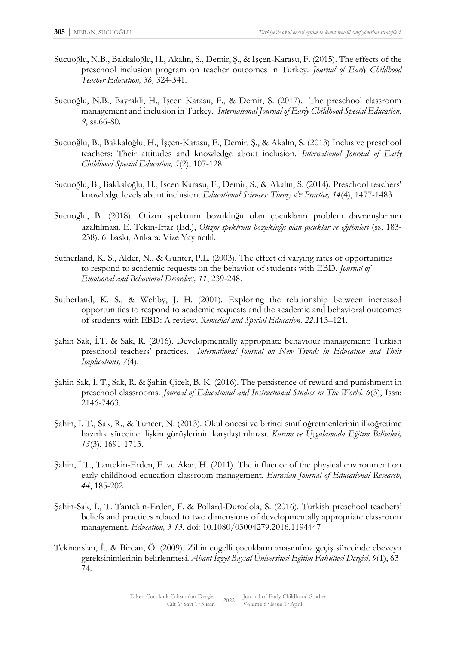- Sucuoğlu, N.B., Bakkaloğlu, H., Akalın, S., Demir, Ş., & İşçen-Karasu, F. (2015). The effects of the preschool inclusion program on teacher outcomes in Turkey. *Journal of Early Childhood Teacher Education, 36,* 324-341.
- Sucuoğlu, N.B., Bayrakli, H., İşcen Karasu, F., & Demir, Ş. (2017). The preschool classroom management and inclusion in Turkey. *Internatıonal Journal of Early Childhood Special Education*, *9*, ss.66-80.
- Sucuoǧlu, B., Bakkaloğlu, H., İşçen-Karasu, F., Demir, Ş., & Akalın, S. (2013) Inclusive preschool teachers: Their attitudes and knowledge about inclusion. *International Journal of Early Childhood Special Education, 5*(2), 107-128.
- Sucuoğlu, B., Bakkaloğlu, H., İscen Karasu, F., Demir, S., & Akalın, S. (2014). Preschool teachers' knowledge levels about inclusion. *Educational Sciences: Theory & Practice, 14*(4), 1477-1483.
- Sucuoglu, B. (2018). Otizm spektrum bozukluğu olan çocukların problem davranışlarının azaltılması. E. Tekin-İftar (Ed.), *Otizm spektrum bozukluğu olan çocuklar ve eğitimleri* (ss. 183- 238). 6. baskı, Ankara: Vize Yayıncılık.
- Sutherland, K. S., Alder, N., & Gunter, P.L. (2003). The effect of varying rates of opportunities to respond to academic requests on the behavior of students with EBD. *Journal of Emotional and Behavioral Disorders, 11*, 239-248.
- Sutherland, K. S., & Wehby, J. H. (2001). Exploring the relationship between increased opportunities to respond to academic requests and the academic and behavioral outcomes of students with EBD: A review. *Remedial and Special Education, 22,*113–121.
- Şahin Sak, İ.T. & Sak, R. (2016). Developmentally appropriate behaviour management: Turkish preschool teachers' practices. *International Journal on New Trends in Education and Their Implications, 7*(4).
- Şahin Sak, İ. T., Sak, R. & Şahin Çicek, B. K. (2016). The persistence of reward and punishment in preschool classrooms. *Journal of Educatıonal and Instructıonal Studıes in The World, 6*(3), Issn: 2146-7463.
- Şahin, İ. T., Sak, R., & Tuncer, N. (2013). Okul öncesi ve birinci sınıf öğretmenlerinin ilköğretime hazırlık sürecine ilişkin görüşlerinin karşılaştırılması. *Kuram ve Uygulamada Eğitim Bilimleri, 13*(3), 1691-1713.
- Sahin, I.T., Tantekin-Erden, F. ve Akar, H. (2011). The influence of the physical environment on early childhood education classroom management. *Eurasian Journal of Educational Research, 44*, 185-202.
- Şahin-Sak, İ., T. Tantekin-Erden, F. & Pollard-Durodola, S. (2016). Turkish preschool teachers' beliefs and practices related to two dimensions of developmentally appropriate classroom management. *Education, 3-13.* doi: 10.1080/03004279.2016.1194447
- Tekinarslan, İ., & Bircan, Ö. (2009). Zihin engelli çocukların anasınıfına geçiş sürecinde ebeveyn gereksinimlerinin belirlenmesi. *Abant İzzet Baysal Üniversitesi Eğitim Fakültesi Dergisi, 9*(1), 63- 74.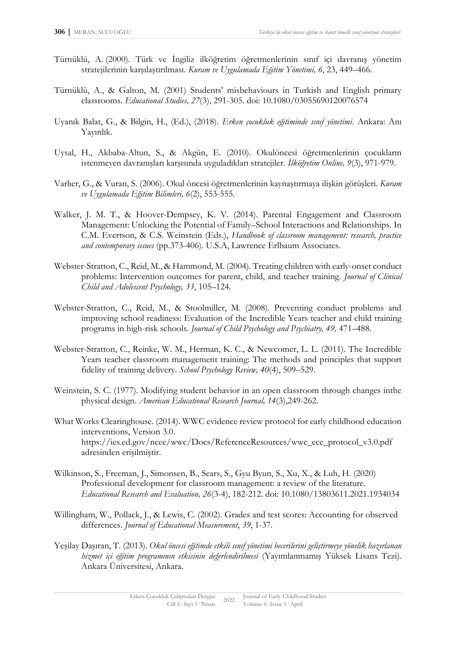- Türnüklü, A. (2000). Türk ve İngiliz ilköğretim öğretmenlerinin sınıf içi davranış yönetim stratejilerinin karşılaştırılması. *Kuram ve Uygulamada Eğitim Yönetimi, 6*, 23, 449–466.
- Türnüklü, A., & Galton, M. (2001) Students' misbehaviours in Turkish and English primary classrooms. *Educational Studies, 27*(3), 291-305. doi: 10.1080/03055690120076574
- Uyanık Balat, G., & Bilgin, H., (Ed.), (2018). *Erken çocukluk eğitiminde sınıf yönetimi*. Ankara: Anı Yayınlık.
- Uysal, H., Akbaba-Altun, S., & Akgün, E. (2010). Okulöncesi öğretmenlerinin çocukların istenmeyen davranışları karşısında uyguladıkları stratejiler. *İlköğretim Online, 9*(3), 971-979.
- Varlıer, G., & Vuran, S. (2006). Okul öncesi öğretmenlerinin kaynaştırmaya ilişkin görüşleri. *Kuram ve Uygulamada Eğitim Bilimleri, 6*(2), 553-555.
- Walker, J. M. T., & Hoover-Dempsey, K. V. (2014). Parental Engagement and Classroom Management: Unlocking the Potential of Family–School Interactions and Relationships. In C.M. Evertson, & C.S. Weinstein (Eds.), *Handbook of classroom management: research, practice and contemporary issues* (pp.373-406). U.S.A, Lawrence Erlbaum Associates.
- Webster-Stratton, C., Reid, M., & Hammond, M. (2004). Treating children with early-onset conduct problems: Intervention outcomes for parent, child, and teacher training. *Journal of Clinical Child and Adolescent Psychology, 33*, 105–124.
- Webster-Stratton, C., Reid, M., & Stoolmiller, M. (2008). Preventing conduct problems and improving school readiness: Evaluation of the Incredible Years teacher and child training programs in high-risk schools*. Journal of Child Psychology and Psychiatry, 49,* 471–488.
- Webster-Stratton, C., Reinke, W. M., Herman, K. C., & Newcomer, L. L. (2011). The Incredible Years teacher classroom management training: The methods and principles that support fidelity of training delivery. *School Psychology Review, 40*(4), 509–529.
- Weinstein, S. C. (1977). Modifying student behavior in an open classroom through changes inthe physical design. *American Educational Research Journal, 14*(3),249-262.
- What Works Clearinghouse. (2014). WWC evidence review protocol for early childhood education interventions, Version 3.0. [https://ies.ed.gov/ncee/wwc/Docs/ReferenceResources/wwc\\_ece\\_protocol\\_v3.0.pdf](https://ies.ed.gov/ncee/wwc/Docs/ReferenceResources/wwc_ece_protocol_v3.0.pdf) adresinden erişilmiştir.
- Wilkinson, S., Freeman, J., Simonsen, B., Sears, S., Gyu Byun, S., Xu, X., & Luh, H. (2020) Professional development for classroom management: a review of the literature. *Educational Research and Evaluation, 26*(3-4), 182-212. doi: 10.1080/13803611.2021.1934034
- Willingham, W., Pollack, J., & Lewis, C. (2002). Grades and test scores: Accounting for observed differences. *Journal of Educational Measurement*, *39*, 1-37.
- Yeşilay Daşıran, T. (2013). *Okul öncesi eğitimde etkili sınıf yönetimi becerilerini geliştirmeye yönelik hazırlanan hizmet içi eğitim programının etkisinin değerlendirilmesi* (Yayımlanmamış Yüksek Lisans Tezi). Ankara Üniversitesi, Ankara.